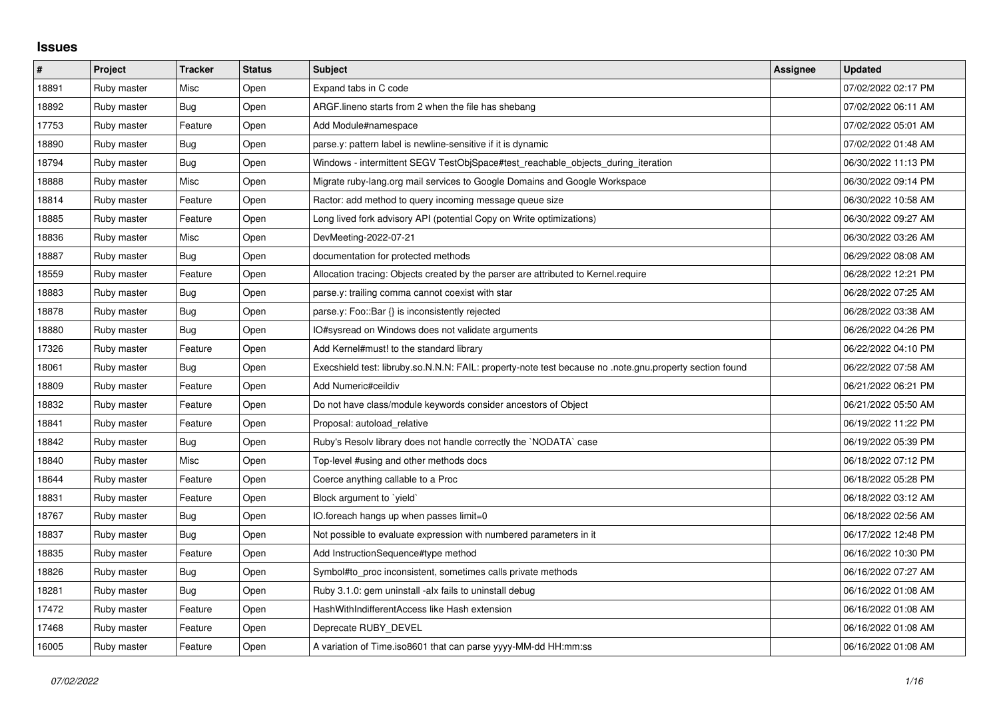## **Issues**

| $\sharp$ | Project     | <b>Tracker</b> | <b>Status</b> | <b>Subject</b>                                                                                          | Assignee | <b>Updated</b>      |
|----------|-------------|----------------|---------------|---------------------------------------------------------------------------------------------------------|----------|---------------------|
| 18891    | Ruby master | Misc           | Open          | Expand tabs in C code                                                                                   |          | 07/02/2022 02:17 PM |
| 18892    | Ruby master | Bug            | Open          | ARGF.lineno starts from 2 when the file has shebang                                                     |          | 07/02/2022 06:11 AM |
| 17753    | Ruby master | Feature        | Open          | Add Module#namespace                                                                                    |          | 07/02/2022 05:01 AM |
| 18890    | Ruby master | Bug            | Open          | parse.y: pattern label is newline-sensitive if it is dynamic                                            |          | 07/02/2022 01:48 AM |
| 18794    | Ruby master | Bug            | Open          | Windows - intermittent SEGV TestObjSpace#test reachable objects during iteration                        |          | 06/30/2022 11:13 PM |
| 18888    | Ruby master | Misc           | Open          | Migrate ruby-lang.org mail services to Google Domains and Google Workspace                              |          | 06/30/2022 09:14 PM |
| 18814    | Ruby master | Feature        | Open          | Ractor: add method to query incoming message queue size                                                 |          | 06/30/2022 10:58 AM |
| 18885    | Ruby master | Feature        | Open          | Long lived fork advisory API (potential Copy on Write optimizations)                                    |          | 06/30/2022 09:27 AM |
| 18836    | Ruby master | Misc           | Open          | DevMeeting-2022-07-21                                                                                   |          | 06/30/2022 03:26 AM |
| 18887    | Ruby master | Bug            | Open          | documentation for protected methods                                                                     |          | 06/29/2022 08:08 AM |
| 18559    | Ruby master | Feature        | Open          | Allocation tracing: Objects created by the parser are attributed to Kernel.require                      |          | 06/28/2022 12:21 PM |
| 18883    | Ruby master | <b>Bug</b>     | Open          | parse.y: trailing comma cannot coexist with star                                                        |          | 06/28/2022 07:25 AM |
| 18878    | Ruby master | Bug            | Open          | parse.y: Foo::Bar {} is inconsistently rejected                                                         |          | 06/28/2022 03:38 AM |
| 18880    | Ruby master | Bug            | Open          | IO#sysread on Windows does not validate arguments                                                       |          | 06/26/2022 04:26 PM |
| 17326    | Ruby master | Feature        | Open          | Add Kernel#must! to the standard library                                                                |          | 06/22/2022 04:10 PM |
| 18061    | Ruby master | Bug            | Open          | Execshield test: libruby.so.N.N.N: FAIL: property-note test because no .note.gnu.property section found |          | 06/22/2022 07:58 AM |
| 18809    | Ruby master | Feature        | Open          | Add Numeric#ceildiv                                                                                     |          | 06/21/2022 06:21 PM |
| 18832    | Ruby master | Feature        | Open          | Do not have class/module keywords consider ancestors of Object                                          |          | 06/21/2022 05:50 AM |
| 18841    | Ruby master | Feature        | Open          | Proposal: autoload relative                                                                             |          | 06/19/2022 11:22 PM |
| 18842    | Ruby master | Bug            | Open          | Ruby's Resolv library does not handle correctly the `NODATA` case                                       |          | 06/19/2022 05:39 PM |
| 18840    | Ruby master | Misc           | Open          | Top-level #using and other methods docs                                                                 |          | 06/18/2022 07:12 PM |
| 18644    | Ruby master | Feature        | Open          | Coerce anything callable to a Proc                                                                      |          | 06/18/2022 05:28 PM |
| 18831    | Ruby master | Feature        | Open          | Block argument to `yield`                                                                               |          | 06/18/2022 03:12 AM |
| 18767    | Ruby master | <b>Bug</b>     | Open          | IO.foreach hangs up when passes limit=0                                                                 |          | 06/18/2022 02:56 AM |
| 18837    | Ruby master | Bug            | Open          | Not possible to evaluate expression with numbered parameters in it                                      |          | 06/17/2022 12:48 PM |
| 18835    | Ruby master | Feature        | Open          | Add InstructionSequence#type method                                                                     |          | 06/16/2022 10:30 PM |
| 18826    | Ruby master | Bug            | Open          | Symbol#to_proc inconsistent, sometimes calls private methods                                            |          | 06/16/2022 07:27 AM |
| 18281    | Ruby master | Bug            | Open          | Ruby 3.1.0: gem uninstall -alx fails to uninstall debug                                                 |          | 06/16/2022 01:08 AM |
| 17472    | Ruby master | Feature        | Open          | HashWithIndifferentAccess like Hash extension                                                           |          | 06/16/2022 01:08 AM |
| 17468    | Ruby master | Feature        | Open          | Deprecate RUBY_DEVEL                                                                                    |          | 06/16/2022 01:08 AM |
| 16005    | Ruby master | Feature        | Open          | A variation of Time.iso8601 that can parse yyyy-MM-dd HH:mm:ss                                          |          | 06/16/2022 01:08 AM |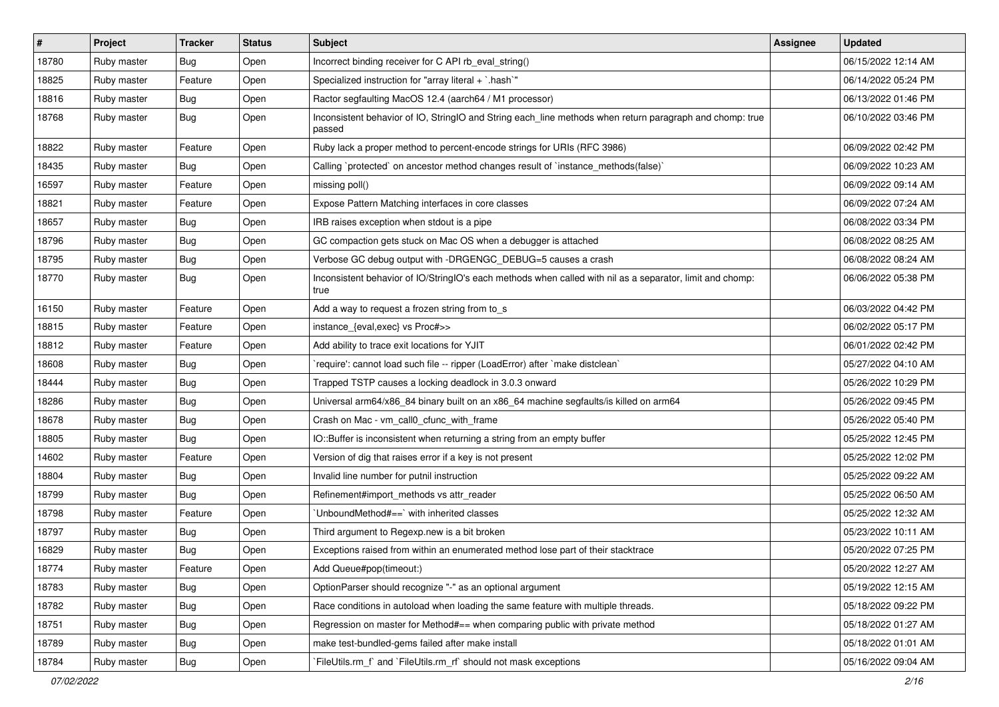| $\sharp$ | Project     | <b>Tracker</b> | <b>Status</b> | <b>Subject</b>                                                                                                     | <b>Assignee</b> | <b>Updated</b>      |
|----------|-------------|----------------|---------------|--------------------------------------------------------------------------------------------------------------------|-----------------|---------------------|
| 18780    | Ruby master | Bug            | Open          | Incorrect binding receiver for C API rb_eval_string()                                                              |                 | 06/15/2022 12:14 AM |
| 18825    | Ruby master | Feature        | Open          | Specialized instruction for "array literal + `.hash`"                                                              |                 | 06/14/2022 05:24 PM |
| 18816    | Ruby master | Bug            | Open          | Ractor segfaulting MacOS 12.4 (aarch64 / M1 processor)                                                             |                 | 06/13/2022 01:46 PM |
| 18768    | Ruby master | Bug            | Open          | Inconsistent behavior of IO, StringIO and String each_line methods when return paragraph and chomp: true<br>passed |                 | 06/10/2022 03:46 PM |
| 18822    | Ruby master | Feature        | Open          | Ruby lack a proper method to percent-encode strings for URIs (RFC 3986)                                            |                 | 06/09/2022 02:42 PM |
| 18435    | Ruby master | Bug            | Open          | Calling `protected` on ancestor method changes result of `instance_methods(false)`                                 |                 | 06/09/2022 10:23 AM |
| 16597    | Ruby master | Feature        | Open          | missing poll()                                                                                                     |                 | 06/09/2022 09:14 AM |
| 18821    | Ruby master | Feature        | Open          | Expose Pattern Matching interfaces in core classes                                                                 |                 | 06/09/2022 07:24 AM |
| 18657    | Ruby master | <b>Bug</b>     | Open          | IRB raises exception when stdout is a pipe                                                                         |                 | 06/08/2022 03:34 PM |
| 18796    | Ruby master | Bug            | Open          | GC compaction gets stuck on Mac OS when a debugger is attached                                                     |                 | 06/08/2022 08:25 AM |
| 18795    | Ruby master | <b>Bug</b>     | Open          | Verbose GC debug output with -DRGENGC_DEBUG=5 causes a crash                                                       |                 | 06/08/2022 08:24 AM |
| 18770    | Ruby master | Bug            | Open          | Inconsistent behavior of IO/StringIO's each methods when called with nil as a separator, limit and chomp:<br>true  |                 | 06/06/2022 05:38 PM |
| 16150    | Ruby master | Feature        | Open          | Add a way to request a frozen string from to_s                                                                     |                 | 06/03/2022 04:42 PM |
| 18815    | Ruby master | Feature        | Open          | instance_{eval,exec} vs Proc#>>                                                                                    |                 | 06/02/2022 05:17 PM |
| 18812    | Ruby master | Feature        | Open          | Add ability to trace exit locations for YJIT                                                                       |                 | 06/01/2022 02:42 PM |
| 18608    | Ruby master | <b>Bug</b>     | Open          | 'require': cannot load such file -- ripper (LoadError) after 'make distclean'                                      |                 | 05/27/2022 04:10 AM |
| 18444    | Ruby master | Bug            | Open          | Trapped TSTP causes a locking deadlock in 3.0.3 onward                                                             |                 | 05/26/2022 10:29 PM |
| 18286    | Ruby master | <b>Bug</b>     | Open          | Universal arm64/x86_84 binary built on an x86_64 machine segfaults/is killed on arm64                              |                 | 05/26/2022 09:45 PM |
| 18678    | Ruby master | <b>Bug</b>     | Open          | Crash on Mac - vm_call0_cfunc_with_frame                                                                           |                 | 05/26/2022 05:40 PM |
| 18805    | Ruby master | Bug            | Open          | IO::Buffer is inconsistent when returning a string from an empty buffer                                            |                 | 05/25/2022 12:45 PM |
| 14602    | Ruby master | Feature        | Open          | Version of dig that raises error if a key is not present                                                           |                 | 05/25/2022 12:02 PM |
| 18804    | Ruby master | Bug            | Open          | Invalid line number for putnil instruction                                                                         |                 | 05/25/2022 09:22 AM |
| 18799    | Ruby master | <b>Bug</b>     | Open          | Refinement#import_methods vs attr_reader                                                                           |                 | 05/25/2022 06:50 AM |
| 18798    | Ruby master | Feature        | Open          | UnboundMethod#==`with inherited classes                                                                            |                 | 05/25/2022 12:32 AM |
| 18797    | Ruby master | <b>Bug</b>     | Open          | Third argument to Regexp.new is a bit broken                                                                       |                 | 05/23/2022 10:11 AM |
| 16829    | Ruby master | <b>Bug</b>     | Open          | Exceptions raised from within an enumerated method lose part of their stacktrace                                   |                 | 05/20/2022 07:25 PM |
| 18774    | Ruby master | Feature        | Open          | Add Queue#pop(timeout:)                                                                                            |                 | 05/20/2022 12:27 AM |
| 18783    | Ruby master | <b>Bug</b>     | Open          | OptionParser should recognize "-" as an optional argument                                                          |                 | 05/19/2022 12:15 AM |
| 18782    | Ruby master | <b>Bug</b>     | Open          | Race conditions in autoload when loading the same feature with multiple threads.                                   |                 | 05/18/2022 09:22 PM |
| 18751    | Ruby master | Bug            | Open          | Regression on master for Method#== when comparing public with private method                                       |                 | 05/18/2022 01:27 AM |
| 18789    | Ruby master | <b>Bug</b>     | Open          | make test-bundled-gems failed after make install                                                                   |                 | 05/18/2022 01:01 AM |
| 18784    | Ruby master | Bug            | Open          | FileUtils.rm_f` and `FileUtils.rm_rf` should not mask exceptions                                                   |                 | 05/16/2022 09:04 AM |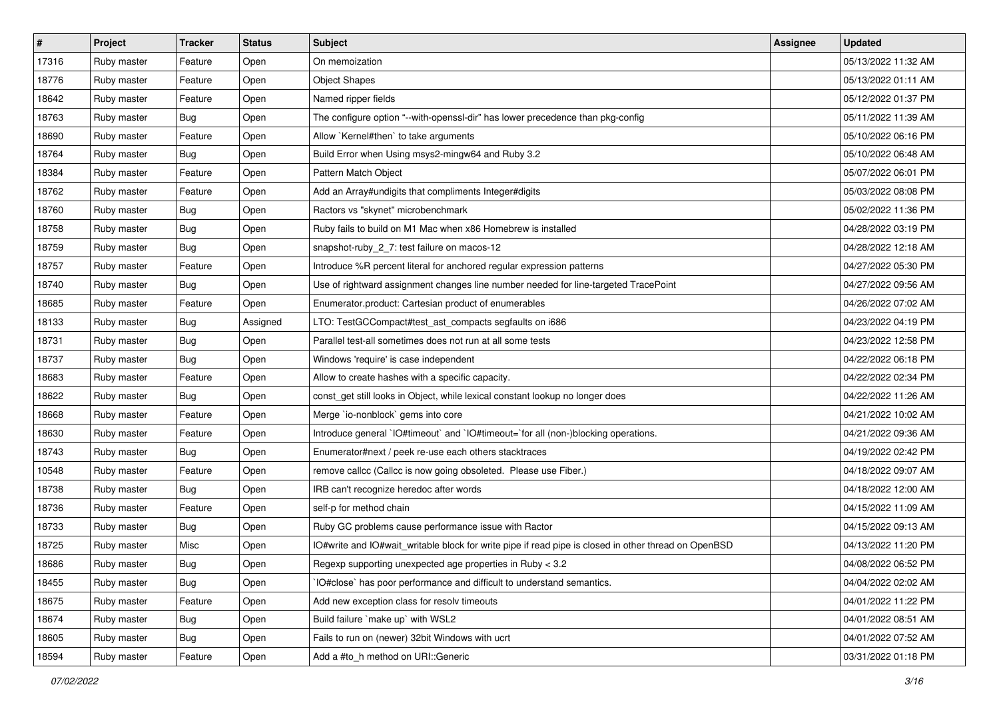| $\sharp$ | <b>Project</b> | <b>Tracker</b> | <b>Status</b> | Subject                                                                                              | <b>Assignee</b> | <b>Updated</b>      |
|----------|----------------|----------------|---------------|------------------------------------------------------------------------------------------------------|-----------------|---------------------|
| 17316    | Ruby master    | Feature        | Open          | On memoization                                                                                       |                 | 05/13/2022 11:32 AM |
| 18776    | Ruby master    | Feature        | Open          | <b>Object Shapes</b>                                                                                 |                 | 05/13/2022 01:11 AM |
| 18642    | Ruby master    | Feature        | Open          | Named ripper fields                                                                                  |                 | 05/12/2022 01:37 PM |
| 18763    | Ruby master    | Bug            | Open          | The configure option "--with-openssl-dir" has lower precedence than pkg-config                       |                 | 05/11/2022 11:39 AM |
| 18690    | Ruby master    | Feature        | Open          | Allow `Kernel#then` to take arguments                                                                |                 | 05/10/2022 06:16 PM |
| 18764    | Ruby master    | Bug            | Open          | Build Error when Using msys2-mingw64 and Ruby 3.2                                                    |                 | 05/10/2022 06:48 AM |
| 18384    | Ruby master    | Feature        | Open          | Pattern Match Object                                                                                 |                 | 05/07/2022 06:01 PM |
| 18762    | Ruby master    | Feature        | Open          | Add an Array#undigits that compliments Integer#digits                                                |                 | 05/03/2022 08:08 PM |
| 18760    | Ruby master    | Bug            | Open          | Ractors vs "skynet" microbenchmark                                                                   |                 | 05/02/2022 11:36 PM |
| 18758    | Ruby master    | <b>Bug</b>     | Open          | Ruby fails to build on M1 Mac when x86 Homebrew is installed                                         |                 | 04/28/2022 03:19 PM |
| 18759    | Ruby master    | <b>Bug</b>     | Open          | snapshot-ruby_2_7: test failure on macos-12                                                          |                 | 04/28/2022 12:18 AM |
| 18757    | Ruby master    | Feature        | Open          | Introduce %R percent literal for anchored regular expression patterns                                |                 | 04/27/2022 05:30 PM |
| 18740    | Ruby master    | <b>Bug</b>     | Open          | Use of rightward assignment changes line number needed for line-targeted TracePoint                  |                 | 04/27/2022 09:56 AM |
| 18685    | Ruby master    | Feature        | Open          | Enumerator.product: Cartesian product of enumerables                                                 |                 | 04/26/2022 07:02 AM |
| 18133    | Ruby master    | <b>Bug</b>     | Assigned      | LTO: TestGCCompact#test_ast_compacts segfaults on i686                                               |                 | 04/23/2022 04:19 PM |
| 18731    | Ruby master    | Bug            | Open          | Parallel test-all sometimes does not run at all some tests                                           |                 | 04/23/2022 12:58 PM |
| 18737    | Ruby master    | <b>Bug</b>     | Open          | Windows 'require' is case independent                                                                |                 | 04/22/2022 06:18 PM |
| 18683    | Ruby master    | Feature        | Open          | Allow to create hashes with a specific capacity.                                                     |                 | 04/22/2022 02:34 PM |
| 18622    | Ruby master    | Bug            | Open          | const_get still looks in Object, while lexical constant lookup no longer does                        |                 | 04/22/2022 11:26 AM |
| 18668    | Ruby master    | Feature        | Open          | Merge `io-nonblock` gems into core                                                                   |                 | 04/21/2022 10:02 AM |
| 18630    | Ruby master    | Feature        | Open          | Introduce general `IO#timeout` and `IO#timeout=`for all (non-)blocking operations.                   |                 | 04/21/2022 09:36 AM |
| 18743    | Ruby master    | <b>Bug</b>     | Open          | Enumerator#next / peek re-use each others stacktraces                                                |                 | 04/19/2022 02:42 PM |
| 10548    | Ruby master    | Feature        | Open          | remove callcc (Callcc is now going obsoleted. Please use Fiber.)                                     |                 | 04/18/2022 09:07 AM |
| 18738    | Ruby master    | Bug            | Open          | IRB can't recognize heredoc after words                                                              |                 | 04/18/2022 12:00 AM |
| 18736    | Ruby master    | Feature        | Open          | self-p for method chain                                                                              |                 | 04/15/2022 11:09 AM |
| 18733    | Ruby master    | Bug            | Open          | Ruby GC problems cause performance issue with Ractor                                                 |                 | 04/15/2022 09:13 AM |
| 18725    | Ruby master    | Misc           | Open          | IO#write and IO#wait_writable block for write pipe if read pipe is closed in other thread on OpenBSD |                 | 04/13/2022 11:20 PM |
| 18686    | Ruby master    | Bug            | Open          | Regexp supporting unexpected age properties in Ruby < 3.2                                            |                 | 04/08/2022 06:52 PM |
| 18455    | Ruby master    | Bug            | Open          | IO#close` has poor performance and difficult to understand semantics.                                |                 | 04/04/2022 02:02 AM |
| 18675    | Ruby master    | Feature        | Open          | Add new exception class for resolv timeouts                                                          |                 | 04/01/2022 11:22 PM |
| 18674    | Ruby master    | Bug            | Open          | Build failure `make up` with WSL2                                                                    |                 | 04/01/2022 08:51 AM |
| 18605    | Ruby master    | <b>Bug</b>     | Open          | Fails to run on (newer) 32bit Windows with ucrt                                                      |                 | 04/01/2022 07:52 AM |
| 18594    | Ruby master    | Feature        | Open          | Add a #to_h method on URI::Generic                                                                   |                 | 03/31/2022 01:18 PM |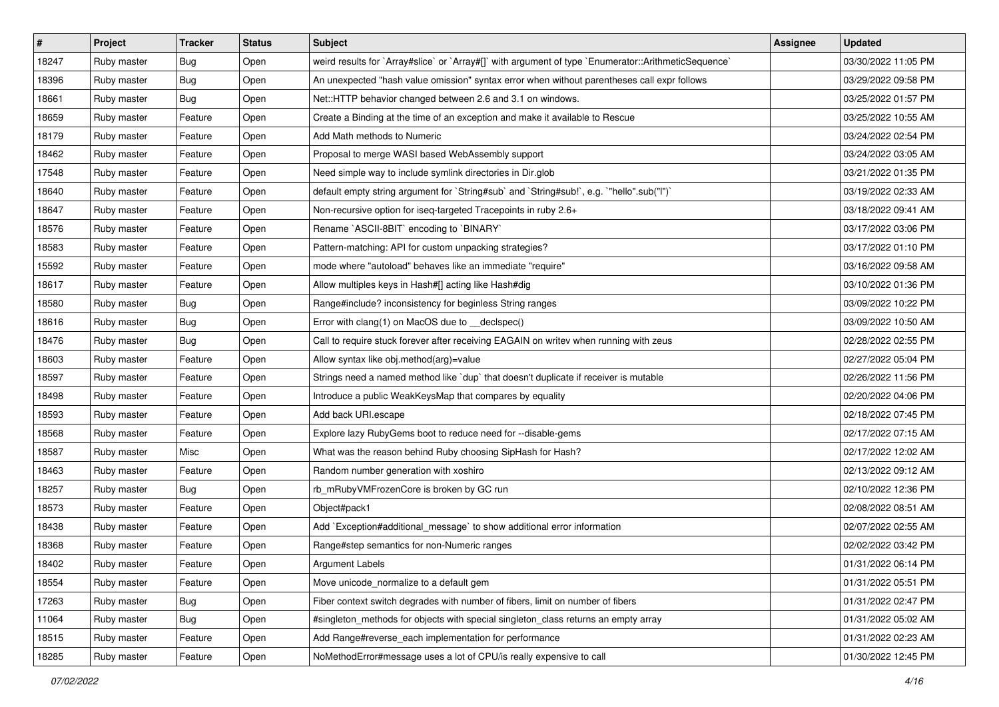| $\vert$ # | Project     | <b>Tracker</b> | <b>Status</b> | Subject                                                                                              | Assignee | <b>Updated</b>      |
|-----------|-------------|----------------|---------------|------------------------------------------------------------------------------------------------------|----------|---------------------|
| 18247     | Ruby master | Bug            | Open          | weird results for `Array#slice` or `Array#[]` with argument of type `Enumerator::ArithmeticSequence` |          | 03/30/2022 11:05 PM |
| 18396     | Ruby master | Bug            | Open          | An unexpected "hash value omission" syntax error when without parentheses call expr follows          |          | 03/29/2022 09:58 PM |
| 18661     | Ruby master | <b>Bug</b>     | Open          | Net::HTTP behavior changed between 2.6 and 3.1 on windows.                                           |          | 03/25/2022 01:57 PM |
| 18659     | Ruby master | Feature        | Open          | Create a Binding at the time of an exception and make it available to Rescue                         |          | 03/25/2022 10:55 AM |
| 18179     | Ruby master | Feature        | Open          | Add Math methods to Numeric                                                                          |          | 03/24/2022 02:54 PM |
| 18462     | Ruby master | Feature        | Open          | Proposal to merge WASI based WebAssembly support                                                     |          | 03/24/2022 03:05 AM |
| 17548     | Ruby master | Feature        | Open          | Need simple way to include symlink directories in Dir.glob                                           |          | 03/21/2022 01:35 PM |
| 18640     | Ruby master | Feature        | Open          | default empty string argument for `String#sub` and `String#sub!`, e.g. `"hello".sub("I")`            |          | 03/19/2022 02:33 AM |
| 18647     | Ruby master | Feature        | Open          | Non-recursive option for iseq-targeted Tracepoints in ruby 2.6+                                      |          | 03/18/2022 09:41 AM |
| 18576     | Ruby master | Feature        | Open          | Rename `ASCII-8BIT` encoding to `BINARY`                                                             |          | 03/17/2022 03:06 PM |
| 18583     | Ruby master | Feature        | Open          | Pattern-matching: API for custom unpacking strategies?                                               |          | 03/17/2022 01:10 PM |
| 15592     | Ruby master | Feature        | Open          | mode where "autoload" behaves like an immediate "require"                                            |          | 03/16/2022 09:58 AM |
| 18617     | Ruby master | Feature        | Open          | Allow multiples keys in Hash#[] acting like Hash#dig                                                 |          | 03/10/2022 01:36 PM |
| 18580     | Ruby master | <b>Bug</b>     | Open          | Range#include? inconsistency for beginless String ranges                                             |          | 03/09/2022 10:22 PM |
| 18616     | Ruby master | Bug            | Open          | Error with clang(1) on MacOS due to __declspec()                                                     |          | 03/09/2022 10:50 AM |
| 18476     | Ruby master | <b>Bug</b>     | Open          | Call to require stuck forever after receiving EAGAIN on writev when running with zeus                |          | 02/28/2022 02:55 PM |
| 18603     | Ruby master | Feature        | Open          | Allow syntax like obj.method(arg)=value                                                              |          | 02/27/2022 05:04 PM |
| 18597     | Ruby master | Feature        | Open          | Strings need a named method like 'dup' that doesn't duplicate if receiver is mutable                 |          | 02/26/2022 11:56 PM |
| 18498     | Ruby master | Feature        | Open          | Introduce a public WeakKeysMap that compares by equality                                             |          | 02/20/2022 04:06 PM |
| 18593     | Ruby master | Feature        | Open          | Add back URI.escape                                                                                  |          | 02/18/2022 07:45 PM |
| 18568     | Ruby master | Feature        | Open          | Explore lazy RubyGems boot to reduce need for --disable-gems                                         |          | 02/17/2022 07:15 AM |
| 18587     | Ruby master | Misc           | Open          | What was the reason behind Ruby choosing SipHash for Hash?                                           |          | 02/17/2022 12:02 AM |
| 18463     | Ruby master | Feature        | Open          | Random number generation with xoshiro                                                                |          | 02/13/2022 09:12 AM |
| 18257     | Ruby master | Bug            | Open          | rb_mRubyVMFrozenCore is broken by GC run                                                             |          | 02/10/2022 12:36 PM |
| 18573     | Ruby master | Feature        | Open          | Object#pack1                                                                                         |          | 02/08/2022 08:51 AM |
| 18438     | Ruby master | Feature        | Open          | Add `Exception#additional_message` to show additional error information                              |          | 02/07/2022 02:55 AM |
| 18368     | Ruby master | Feature        | Open          | Range#step semantics for non-Numeric ranges                                                          |          | 02/02/2022 03:42 PM |
| 18402     | Ruby master | Feature        | Open          | Argument Labels                                                                                      |          | 01/31/2022 06:14 PM |
| 18554     | Ruby master | Feature        | Open          | Move unicode normalize to a default gem                                                              |          | 01/31/2022 05:51 PM |
| 17263     | Ruby master | <b>Bug</b>     | Open          | Fiber context switch degrades with number of fibers, limit on number of fibers                       |          | 01/31/2022 02:47 PM |
| 11064     | Ruby master | Bug            | Open          | #singleton_methods for objects with special singleton_class returns an empty array                   |          | 01/31/2022 05:02 AM |
| 18515     | Ruby master | Feature        | Open          | Add Range#reverse_each implementation for performance                                                |          | 01/31/2022 02:23 AM |
| 18285     | Ruby master | Feature        | Open          | NoMethodError#message uses a lot of CPU/is really expensive to call                                  |          | 01/30/2022 12:45 PM |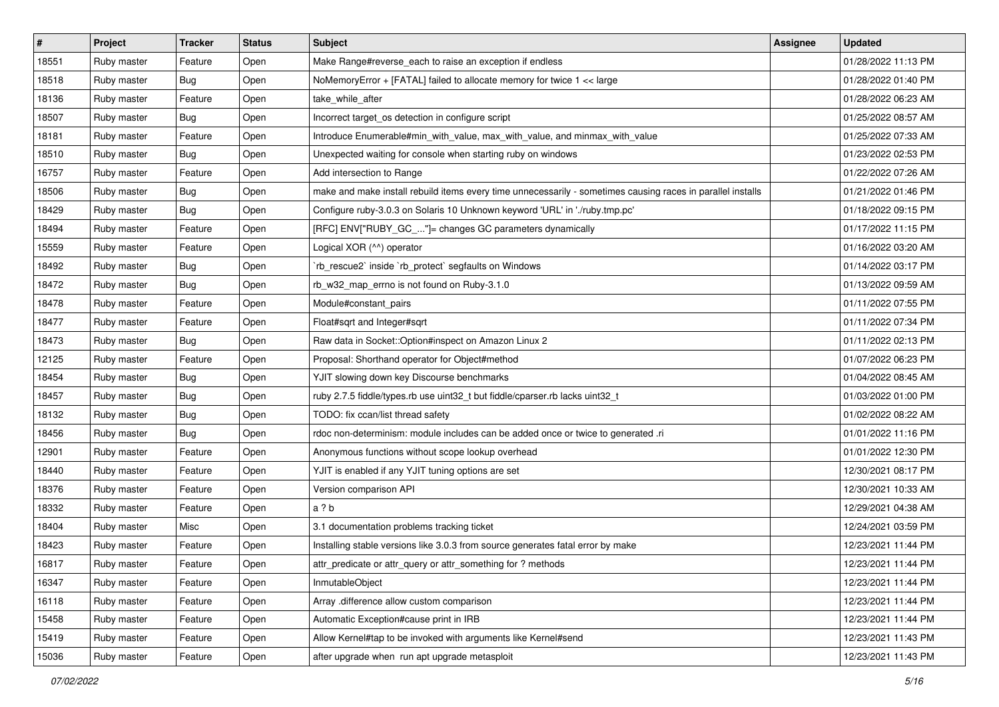| $\vert$ # | Project     | <b>Tracker</b> | <b>Status</b> | Subject                                                                                                     | <b>Assignee</b> | <b>Updated</b>      |
|-----------|-------------|----------------|---------------|-------------------------------------------------------------------------------------------------------------|-----------------|---------------------|
| 18551     | Ruby master | Feature        | Open          | Make Range#reverse_each to raise an exception if endless                                                    |                 | 01/28/2022 11:13 PM |
| 18518     | Ruby master | Bug            | Open          | NoMemoryError + [FATAL] failed to allocate memory for twice 1 << large                                      |                 | 01/28/2022 01:40 PM |
| 18136     | Ruby master | Feature        | Open          | take_while_after                                                                                            |                 | 01/28/2022 06:23 AM |
| 18507     | Ruby master | Bug            | Open          | Incorrect target_os detection in configure script                                                           |                 | 01/25/2022 08:57 AM |
| 18181     | Ruby master | Feature        | Open          | Introduce Enumerable#min_with_value, max_with_value, and minmax_with_value                                  |                 | 01/25/2022 07:33 AM |
| 18510     | Ruby master | <b>Bug</b>     | Open          | Unexpected waiting for console when starting ruby on windows                                                |                 | 01/23/2022 02:53 PM |
| 16757     | Ruby master | Feature        | Open          | Add intersection to Range                                                                                   |                 | 01/22/2022 07:26 AM |
| 18506     | Ruby master | Bug            | Open          | make and make install rebuild items every time unnecessarily - sometimes causing races in parallel installs |                 | 01/21/2022 01:46 PM |
| 18429     | Ruby master | Bug            | Open          | Configure ruby-3.0.3 on Solaris 10 Unknown keyword 'URL' in './ruby.tmp.pc'                                 |                 | 01/18/2022 09:15 PM |
| 18494     | Ruby master | Feature        | Open          | [RFC] ENV["RUBY_GC_"]= changes GC parameters dynamically                                                    |                 | 01/17/2022 11:15 PM |
| 15559     | Ruby master | Feature        | Open          | Logical XOR (^^) operator                                                                                   |                 | 01/16/2022 03:20 AM |
| 18492     | Ruby master | Bug            | Open          | 'rb_rescue2' inside 'rb_protect' segfaults on Windows                                                       |                 | 01/14/2022 03:17 PM |
| 18472     | Ruby master | Bug            | Open          | rb_w32_map_errno is not found on Ruby-3.1.0                                                                 |                 | 01/13/2022 09:59 AM |
| 18478     | Ruby master | Feature        | Open          | Module#constant_pairs                                                                                       |                 | 01/11/2022 07:55 PM |
| 18477     | Ruby master | Feature        | Open          | Float#sqrt and Integer#sqrt                                                                                 |                 | 01/11/2022 07:34 PM |
| 18473     | Ruby master | Bug            | Open          | Raw data in Socket::Option#inspect on Amazon Linux 2                                                        |                 | 01/11/2022 02:13 PM |
| 12125     | Ruby master | Feature        | Open          | Proposal: Shorthand operator for Object#method                                                              |                 | 01/07/2022 06:23 PM |
| 18454     | Ruby master | <b>Bug</b>     | Open          | YJIT slowing down key Discourse benchmarks                                                                  |                 | 01/04/2022 08:45 AM |
| 18457     | Ruby master | Bug            | Open          | ruby 2.7.5 fiddle/types.rb use uint32_t but fiddle/cparser.rb lacks uint32_t                                |                 | 01/03/2022 01:00 PM |
| 18132     | Ruby master | <b>Bug</b>     | Open          | TODO: fix ccan/list thread safety                                                                           |                 | 01/02/2022 08:22 AM |
| 18456     | Ruby master | Bug            | Open          | rdoc non-determinism: module includes can be added once or twice to generated .ri                           |                 | 01/01/2022 11:16 PM |
| 12901     | Ruby master | Feature        | Open          | Anonymous functions without scope lookup overhead                                                           |                 | 01/01/2022 12:30 PM |
| 18440     | Ruby master | Feature        | Open          | YJIT is enabled if any YJIT tuning options are set                                                          |                 | 12/30/2021 08:17 PM |
| 18376     | Ruby master | Feature        | Open          | Version comparison API                                                                                      |                 | 12/30/2021 10:33 AM |
| 18332     | Ruby master | Feature        | Open          | a ? b                                                                                                       |                 | 12/29/2021 04:38 AM |
| 18404     | Ruby master | Misc           | Open          | 3.1 documentation problems tracking ticket                                                                  |                 | 12/24/2021 03:59 PM |
| 18423     | Ruby master | Feature        | Open          | Installing stable versions like 3.0.3 from source generates fatal error by make                             |                 | 12/23/2021 11:44 PM |
| 16817     | Ruby master | Feature        | Open          | attr_predicate or attr_query or attr_something for ? methods                                                |                 | 12/23/2021 11:44 PM |
| 16347     | Ruby master | Feature        | Open          | InmutableObject                                                                                             |                 | 12/23/2021 11:44 PM |
| 16118     | Ruby master | Feature        | Open          | Array .difference allow custom comparison                                                                   |                 | 12/23/2021 11:44 PM |
| 15458     | Ruby master | Feature        | Open          | Automatic Exception#cause print in IRB                                                                      |                 | 12/23/2021 11:44 PM |
| 15419     | Ruby master | Feature        | Open          | Allow Kernel#tap to be invoked with arguments like Kernel#send                                              |                 | 12/23/2021 11:43 PM |
| 15036     | Ruby master | Feature        | Open          | after upgrade when run apt upgrade metasploit                                                               |                 | 12/23/2021 11:43 PM |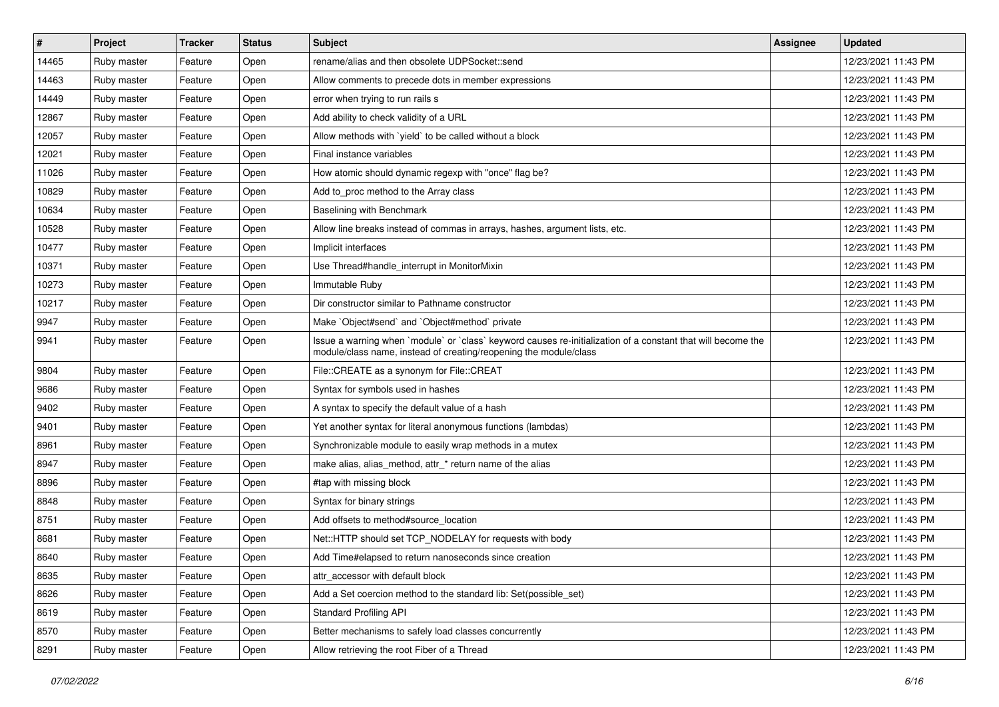| $\vert$ # | Project     | <b>Tracker</b> | <b>Status</b> | Subject                                                                                                                                                                           | <b>Assignee</b> | <b>Updated</b>      |
|-----------|-------------|----------------|---------------|-----------------------------------------------------------------------------------------------------------------------------------------------------------------------------------|-----------------|---------------------|
| 14465     | Ruby master | Feature        | Open          | rename/alias and then obsolete UDPSocket::send                                                                                                                                    |                 | 12/23/2021 11:43 PM |
| 14463     | Ruby master | Feature        | Open          | Allow comments to precede dots in member expressions                                                                                                                              |                 | 12/23/2021 11:43 PM |
| 14449     | Ruby master | Feature        | Open          | error when trying to run rails s                                                                                                                                                  |                 | 12/23/2021 11:43 PM |
| 12867     | Ruby master | Feature        | Open          | Add ability to check validity of a URL                                                                                                                                            |                 | 12/23/2021 11:43 PM |
| 12057     | Ruby master | Feature        | Open          | Allow methods with 'yield' to be called without a block                                                                                                                           |                 | 12/23/2021 11:43 PM |
| 12021     | Ruby master | Feature        | Open          | Final instance variables                                                                                                                                                          |                 | 12/23/2021 11:43 PM |
| 11026     | Ruby master | Feature        | Open          | How atomic should dynamic regexp with "once" flag be?                                                                                                                             |                 | 12/23/2021 11:43 PM |
| 10829     | Ruby master | Feature        | Open          | Add to proc method to the Array class                                                                                                                                             |                 | 12/23/2021 11:43 PM |
| 10634     | Ruby master | Feature        | Open          | Baselining with Benchmark                                                                                                                                                         |                 | 12/23/2021 11:43 PM |
| 10528     | Ruby master | Feature        | Open          | Allow line breaks instead of commas in arrays, hashes, argument lists, etc.                                                                                                       |                 | 12/23/2021 11:43 PM |
| 10477     | Ruby master | Feature        | Open          | Implicit interfaces                                                                                                                                                               |                 | 12/23/2021 11:43 PM |
| 10371     | Ruby master | Feature        | Open          | Use Thread#handle_interrupt in MonitorMixin                                                                                                                                       |                 | 12/23/2021 11:43 PM |
| 10273     | Ruby master | Feature        | Open          | Immutable Ruby                                                                                                                                                                    |                 | 12/23/2021 11:43 PM |
| 10217     | Ruby master | Feature        | Open          | Dir constructor similar to Pathname constructor                                                                                                                                   |                 | 12/23/2021 11:43 PM |
| 9947      | Ruby master | Feature        | Open          | Make `Object#send` and `Object#method` private                                                                                                                                    |                 | 12/23/2021 11:43 PM |
| 9941      | Ruby master | Feature        | Open          | Issue a warning when `module` or `class` keyword causes re-initialization of a constant that will become the<br>module/class name, instead of creating/reopening the module/class |                 | 12/23/2021 11:43 PM |
| 9804      | Ruby master | Feature        | Open          | File::CREATE as a synonym for File::CREAT                                                                                                                                         |                 | 12/23/2021 11:43 PM |
| 9686      | Ruby master | Feature        | Open          | Syntax for symbols used in hashes                                                                                                                                                 |                 | 12/23/2021 11:43 PM |
| 9402      | Ruby master | Feature        | Open          | A syntax to specify the default value of a hash                                                                                                                                   |                 | 12/23/2021 11:43 PM |
| 9401      | Ruby master | Feature        | Open          | Yet another syntax for literal anonymous functions (lambdas)                                                                                                                      |                 | 12/23/2021 11:43 PM |
| 8961      | Ruby master | Feature        | Open          | Synchronizable module to easily wrap methods in a mutex                                                                                                                           |                 | 12/23/2021 11:43 PM |
| 8947      | Ruby master | Feature        | Open          | make alias, alias_method, attr_* return name of the alias                                                                                                                         |                 | 12/23/2021 11:43 PM |
| 8896      | Ruby master | Feature        | Open          | #tap with missing block                                                                                                                                                           |                 | 12/23/2021 11:43 PM |
| 8848      | Ruby master | Feature        | Open          | Syntax for binary strings                                                                                                                                                         |                 | 12/23/2021 11:43 PM |
| 8751      | Ruby master | Feature        | Open          | Add offsets to method#source_location                                                                                                                                             |                 | 12/23/2021 11:43 PM |
| 8681      | Ruby master | Feature        | Open          | Net::HTTP should set TCP NODELAY for requests with body                                                                                                                           |                 | 12/23/2021 11:43 PM |
| 8640      | Ruby master | Feature        | Open          | Add Time#elapsed to return nanoseconds since creation                                                                                                                             |                 | 12/23/2021 11:43 PM |
| 8635      | Ruby master | Feature        | Open          | attr accessor with default block                                                                                                                                                  |                 | 12/23/2021 11:43 PM |
| 8626      | Ruby master | Feature        | Open          | Add a Set coercion method to the standard lib: Set(possible_set)                                                                                                                  |                 | 12/23/2021 11:43 PM |
| 8619      | Ruby master | Feature        | Open          | <b>Standard Profiling API</b>                                                                                                                                                     |                 | 12/23/2021 11:43 PM |
| 8570      | Ruby master | Feature        | Open          | Better mechanisms to safely load classes concurrently                                                                                                                             |                 | 12/23/2021 11:43 PM |
| 8291      | Ruby master | Feature        | Open          | Allow retrieving the root Fiber of a Thread                                                                                                                                       |                 | 12/23/2021 11:43 PM |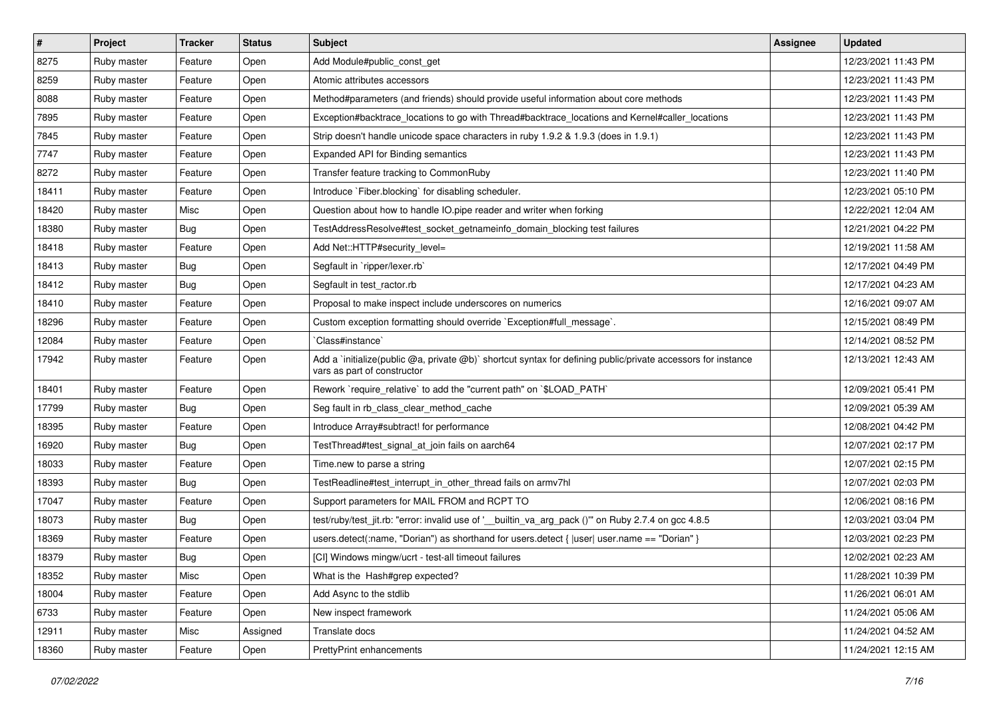| $\vert$ # | Project     | <b>Tracker</b> | <b>Status</b> | Subject                                                                                                                                     | <b>Assignee</b> | <b>Updated</b>      |
|-----------|-------------|----------------|---------------|---------------------------------------------------------------------------------------------------------------------------------------------|-----------------|---------------------|
| 8275      | Ruby master | Feature        | Open          | Add Module#public_const_get                                                                                                                 |                 | 12/23/2021 11:43 PM |
| 8259      | Ruby master | Feature        | Open          | Atomic attributes accessors                                                                                                                 |                 | 12/23/2021 11:43 PM |
| 8088      | Ruby master | Feature        | Open          | Method#parameters (and friends) should provide useful information about core methods                                                        |                 | 12/23/2021 11:43 PM |
| 7895      | Ruby master | Feature        | Open          | Exception#backtrace_locations to go with Thread#backtrace_locations and Kernel#caller_locations                                             |                 | 12/23/2021 11:43 PM |
| 7845      | Ruby master | Feature        | Open          | Strip doesn't handle unicode space characters in ruby 1.9.2 & 1.9.3 (does in 1.9.1)                                                         |                 | 12/23/2021 11:43 PM |
| 7747      | Ruby master | Feature        | Open          | Expanded API for Binding semantics                                                                                                          |                 | 12/23/2021 11:43 PM |
| 8272      | Ruby master | Feature        | Open          | Transfer feature tracking to CommonRuby                                                                                                     |                 | 12/23/2021 11:40 PM |
| 18411     | Ruby master | Feature        | Open          | Introduce `Fiber.blocking` for disabling scheduler.                                                                                         |                 | 12/23/2021 05:10 PM |
| 18420     | Ruby master | Misc           | Open          | Question about how to handle IO.pipe reader and writer when forking                                                                         |                 | 12/22/2021 12:04 AM |
| 18380     | Ruby master | Bug            | Open          | TestAddressResolve#test_socket_getnameinfo_domain_blocking test failures                                                                    |                 | 12/21/2021 04:22 PM |
| 18418     | Ruby master | Feature        | Open          | Add Net::HTTP#security level=                                                                                                               |                 | 12/19/2021 11:58 AM |
| 18413     | Ruby master | Bug            | Open          | Segfault in `ripper/lexer.rb`                                                                                                               |                 | 12/17/2021 04:49 PM |
| 18412     | Ruby master | Bug            | Open          | Segfault in test ractor.rb                                                                                                                  |                 | 12/17/2021 04:23 AM |
| 18410     | Ruby master | Feature        | Open          | Proposal to make inspect include underscores on numerics                                                                                    |                 | 12/16/2021 09:07 AM |
| 18296     | Ruby master | Feature        | Open          | Custom exception formatting should override `Exception#full_message`.                                                                       |                 | 12/15/2021 08:49 PM |
| 12084     | Ruby master | Feature        | Open          | Class#instance`                                                                                                                             |                 | 12/14/2021 08:52 PM |
| 17942     | Ruby master | Feature        | Open          | Add a `initialize(public @a, private @b)` shortcut syntax for defining public/private accessors for instance<br>vars as part of constructor |                 | 12/13/2021 12:43 AM |
| 18401     | Ruby master | Feature        | Open          | Rework `require relative` to add the "current path" on `\$LOAD PATH`                                                                        |                 | 12/09/2021 05:41 PM |
| 17799     | Ruby master | Bug            | Open          | Seg fault in rb_class_clear_method_cache                                                                                                    |                 | 12/09/2021 05:39 AM |
| 18395     | Ruby master | Feature        | Open          | Introduce Array#subtract! for performance                                                                                                   |                 | 12/08/2021 04:42 PM |
| 16920     | Ruby master | Bug            | Open          | TestThread#test_signal_at_join fails on aarch64                                                                                             |                 | 12/07/2021 02:17 PM |
| 18033     | Ruby master | Feature        | Open          | Time.new to parse a string                                                                                                                  |                 | 12/07/2021 02:15 PM |
| 18393     | Ruby master | Bug            | Open          | TestReadline#test interrupt in other thread fails on armv7hl                                                                                |                 | 12/07/2021 02:03 PM |
| 17047     | Ruby master | Feature        | Open          | Support parameters for MAIL FROM and RCPT TO                                                                                                |                 | 12/06/2021 08:16 PM |
| 18073     | Ruby master | Bug            | Open          | test/ruby/test_jit.rb: "error: invalid use of '_builtin_va_arg_pack ()"" on Ruby 2.7.4 on gcc 4.8.5                                         |                 | 12/03/2021 03:04 PM |
| 18369     | Ruby master | Feature        | Open          | users.detect(:name, "Dorian") as shorthand for users.detect {  user  user.name == "Dorian" }                                                |                 | 12/03/2021 02:23 PM |
| 18379     | Ruby master | <b>Bug</b>     | Open          | [CI] Windows mingw/ucrt - test-all timeout failures                                                                                         |                 | 12/02/2021 02:23 AM |
| 18352     | Ruby master | Misc           | Open          | What is the Hash#grep expected?                                                                                                             |                 | 11/28/2021 10:39 PM |
| 18004     | Ruby master | Feature        | Open          | Add Async to the stdlib                                                                                                                     |                 | 11/26/2021 06:01 AM |
| 6733      | Ruby master | Feature        | Open          | New inspect framework                                                                                                                       |                 | 11/24/2021 05:06 AM |
| 12911     | Ruby master | Misc           | Assigned      | Translate docs                                                                                                                              |                 | 11/24/2021 04:52 AM |
| 18360     | Ruby master | Feature        | Open          | PrettyPrint enhancements                                                                                                                    |                 | 11/24/2021 12:15 AM |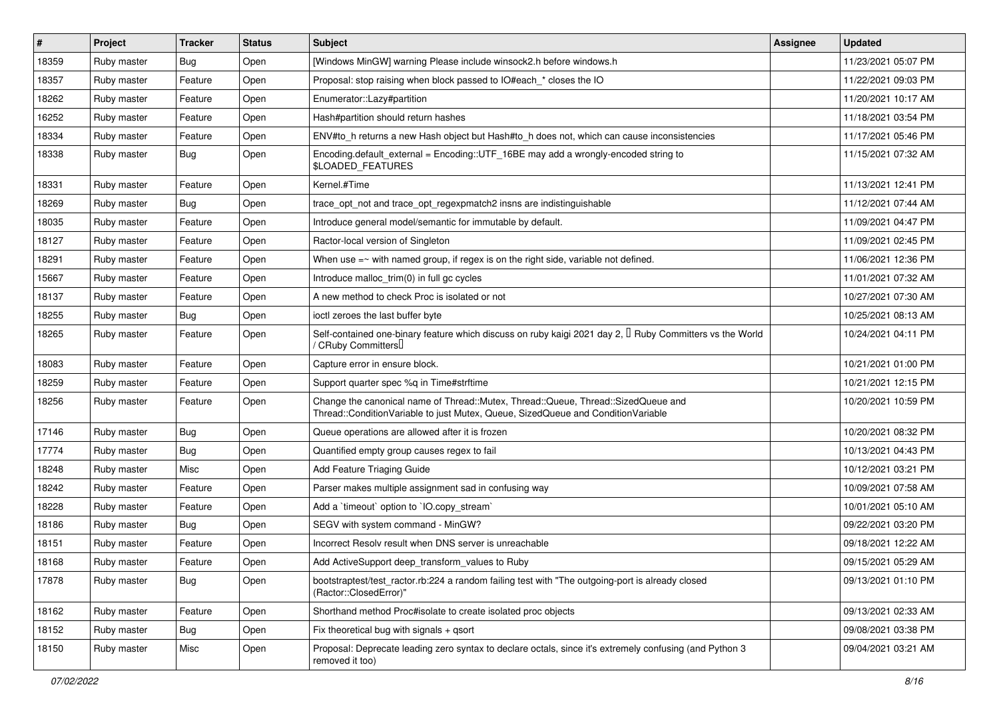| $\vert$ # | Project     | <b>Tracker</b> | <b>Status</b> | Subject                                                                                                                                                               | <b>Assignee</b> | <b>Updated</b>      |
|-----------|-------------|----------------|---------------|-----------------------------------------------------------------------------------------------------------------------------------------------------------------------|-----------------|---------------------|
| 18359     | Ruby master | <b>Bug</b>     | Open          | [Windows MinGW] warning Please include winsock2.h before windows.h                                                                                                    |                 | 11/23/2021 05:07 PM |
| 18357     | Ruby master | Feature        | Open          | Proposal: stop raising when block passed to IO#each_* closes the IO                                                                                                   |                 | 11/22/2021 09:03 PM |
| 18262     | Ruby master | Feature        | Open          | Enumerator::Lazy#partition                                                                                                                                            |                 | 11/20/2021 10:17 AM |
| 16252     | Ruby master | Feature        | Open          | Hash#partition should return hashes                                                                                                                                   |                 | 11/18/2021 03:54 PM |
| 18334     | Ruby master | Feature        | Open          | ENV#to_h returns a new Hash object but Hash#to_h does not, which can cause inconsistencies                                                                            |                 | 11/17/2021 05:46 PM |
| 18338     | Ruby master | <b>Bug</b>     | Open          | Encoding default external = Encoding::UTF 16BE may add a wrongly-encoded string to<br>\$LOADED_FEATURES                                                               |                 | 11/15/2021 07:32 AM |
| 18331     | Ruby master | Feature        | Open          | Kernel.#Time                                                                                                                                                          |                 | 11/13/2021 12:41 PM |
| 18269     | Ruby master | Bug            | Open          | trace_opt_not and trace_opt_regexpmatch2 insns are indistinguishable                                                                                                  |                 | 11/12/2021 07:44 AM |
| 18035     | Ruby master | Feature        | Open          | Introduce general model/semantic for immutable by default.                                                                                                            |                 | 11/09/2021 04:47 PM |
| 18127     | Ruby master | Feature        | Open          | Ractor-local version of Singleton                                                                                                                                     |                 | 11/09/2021 02:45 PM |
| 18291     | Ruby master | Feature        | Open          | When use $=$ with named group, if regex is on the right side, variable not defined.                                                                                   |                 | 11/06/2021 12:36 PM |
| 15667     | Ruby master | Feature        | Open          | Introduce malloc_trim(0) in full gc cycles                                                                                                                            |                 | 11/01/2021 07:32 AM |
| 18137     | Ruby master | Feature        | Open          | A new method to check Proc is isolated or not                                                                                                                         |                 | 10/27/2021 07:30 AM |
| 18255     | Ruby master | <b>Bug</b>     | Open          | ioctl zeroes the last buffer byte                                                                                                                                     |                 | 10/25/2021 08:13 AM |
| 18265     | Ruby master | Feature        | Open          | Self-contained one-binary feature which discuss on ruby kaigi 2021 day 2, $\Box$ Ruby Committers vs the World<br>/ CRuby Committers <sup>[]</sup>                     |                 | 10/24/2021 04:11 PM |
| 18083     | Ruby master | Feature        | Open          | Capture error in ensure block.                                                                                                                                        |                 | 10/21/2021 01:00 PM |
| 18259     | Ruby master | Feature        | Open          | Support quarter spec %q in Time#strftime                                                                                                                              |                 | 10/21/2021 12:15 PM |
| 18256     | Ruby master | Feature        | Open          | Change the canonical name of Thread::Mutex, Thread::Queue, Thread::SizedQueue and<br>Thread::ConditionVariable to just Mutex, Queue, SizedQueue and ConditionVariable |                 | 10/20/2021 10:59 PM |
| 17146     | Ruby master | <b>Bug</b>     | Open          | Queue operations are allowed after it is frozen                                                                                                                       |                 | 10/20/2021 08:32 PM |
| 17774     | Ruby master | <b>Bug</b>     | Open          | Quantified empty group causes regex to fail                                                                                                                           |                 | 10/13/2021 04:43 PM |
| 18248     | Ruby master | Misc           | Open          | Add Feature Triaging Guide                                                                                                                                            |                 | 10/12/2021 03:21 PM |
| 18242     | Ruby master | Feature        | Open          | Parser makes multiple assignment sad in confusing way                                                                                                                 |                 | 10/09/2021 07:58 AM |
| 18228     | Ruby master | Feature        | Open          | Add a 'timeout' option to 'IO.copy_stream'                                                                                                                            |                 | 10/01/2021 05:10 AM |
| 18186     | Ruby master | Bug            | Open          | SEGV with system command - MinGW?                                                                                                                                     |                 | 09/22/2021 03:20 PM |
| 18151     | Ruby master | Feature        | Open          | Incorrect Resolv result when DNS server is unreachable                                                                                                                |                 | 09/18/2021 12:22 AM |
| 18168     | Ruby master | Feature        | Open          | Add ActiveSupport deep_transform_values to Ruby                                                                                                                       |                 | 09/15/2021 05:29 AM |
| 17878     | Ruby master | Bug            | Open          | bootstraptest/test_ractor.rb:224 a random failing test with "The outgoing-port is already closed<br>(Ractor::ClosedError)"                                            |                 | 09/13/2021 01:10 PM |
| 18162     | Ruby master | Feature        | Open          | Shorthand method Proc#isolate to create isolated proc objects                                                                                                         |                 | 09/13/2021 02:33 AM |
| 18152     | Ruby master | <b>Bug</b>     | Open          | Fix theoretical bug with signals + qsort                                                                                                                              |                 | 09/08/2021 03:38 PM |
| 18150     | Ruby master | Misc           | Open          | Proposal: Deprecate leading zero syntax to declare octals, since it's extremely confusing (and Python 3<br>removed it too)                                            |                 | 09/04/2021 03:21 AM |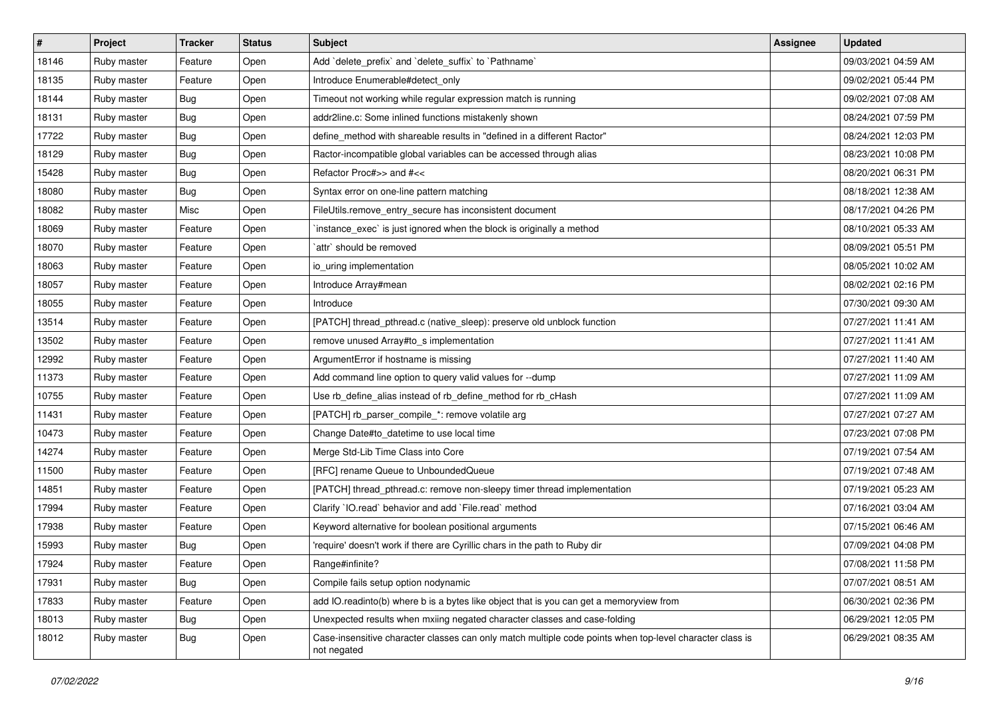| $\vert$ # | Project     | <b>Tracker</b> | <b>Status</b> | <b>Subject</b>                                                                                                          | Assignee | <b>Updated</b>      |
|-----------|-------------|----------------|---------------|-------------------------------------------------------------------------------------------------------------------------|----------|---------------------|
| 18146     | Ruby master | Feature        | Open          | Add `delete_prefix` and `delete_suffix` to `Pathname`                                                                   |          | 09/03/2021 04:59 AM |
| 18135     | Ruby master | Feature        | Open          | Introduce Enumerable#detect only                                                                                        |          | 09/02/2021 05:44 PM |
| 18144     | Ruby master | Bug            | Open          | Timeout not working while regular expression match is running                                                           |          | 09/02/2021 07:08 AM |
| 18131     | Ruby master | Bug            | Open          | addr2line.c: Some inlined functions mistakenly shown                                                                    |          | 08/24/2021 07:59 PM |
| 17722     | Ruby master | <b>Bug</b>     | Open          | define_method with shareable results in "defined in a different Ractor"                                                 |          | 08/24/2021 12:03 PM |
| 18129     | Ruby master | <b>Bug</b>     | Open          | Ractor-incompatible global variables can be accessed through alias                                                      |          | 08/23/2021 10:08 PM |
| 15428     | Ruby master | Bug            | Open          | Refactor Proc#>> and #<<                                                                                                |          | 08/20/2021 06:31 PM |
| 18080     | Ruby master | Bug            | Open          | Syntax error on one-line pattern matching                                                                               |          | 08/18/2021 12:38 AM |
| 18082     | Ruby master | Misc           | Open          | FileUtils.remove_entry_secure has inconsistent document                                                                 |          | 08/17/2021 04:26 PM |
| 18069     | Ruby master | Feature        | Open          | instance_exec` is just ignored when the block is originally a method                                                    |          | 08/10/2021 05:33 AM |
| 18070     | Ruby master | Feature        | Open          | attr` should be removed                                                                                                 |          | 08/09/2021 05:51 PM |
| 18063     | Ruby master | Feature        | Open          | io_uring implementation                                                                                                 |          | 08/05/2021 10:02 AM |
| 18057     | Ruby master | Feature        | Open          | Introduce Array#mean                                                                                                    |          | 08/02/2021 02:16 PM |
| 18055     | Ruby master | Feature        | Open          | Introduce                                                                                                               |          | 07/30/2021 09:30 AM |
| 13514     | Ruby master | Feature        | Open          | [PATCH] thread_pthread.c (native_sleep): preserve old unblock function                                                  |          | 07/27/2021 11:41 AM |
| 13502     | Ruby master | Feature        | Open          | remove unused Array#to_s implementation                                                                                 |          | 07/27/2021 11:41 AM |
| 12992     | Ruby master | Feature        | Open          | ArgumentError if hostname is missing                                                                                    |          | 07/27/2021 11:40 AM |
| 11373     | Ruby master | Feature        | Open          | Add command line option to query valid values for --dump                                                                |          | 07/27/2021 11:09 AM |
| 10755     | Ruby master | Feature        | Open          | Use rb_define_alias instead of rb_define_method for rb_cHash                                                            |          | 07/27/2021 11:09 AM |
| 11431     | Ruby master | Feature        | Open          | [PATCH] rb_parser_compile_*: remove volatile arg                                                                        |          | 07/27/2021 07:27 AM |
| 10473     | Ruby master | Feature        | Open          | Change Date#to_datetime to use local time                                                                               |          | 07/23/2021 07:08 PM |
| 14274     | Ruby master | Feature        | Open          | Merge Std-Lib Time Class into Core                                                                                      |          | 07/19/2021 07:54 AM |
| 11500     | Ruby master | Feature        | Open          | [RFC] rename Queue to UnboundedQueue                                                                                    |          | 07/19/2021 07:48 AM |
| 14851     | Ruby master | Feature        | Open          | [PATCH] thread_pthread.c: remove non-sleepy timer thread implementation                                                 |          | 07/19/2021 05:23 AM |
| 17994     | Ruby master | Feature        | Open          | Clarify 'IO.read' behavior and add 'File.read' method                                                                   |          | 07/16/2021 03:04 AM |
| 17938     | Ruby master | Feature        | Open          | Keyword alternative for boolean positional arguments                                                                    |          | 07/15/2021 06:46 AM |
| 15993     | Ruby master | Bug            | Open          | require' doesn't work if there are Cyrillic chars in the path to Ruby dir                                               |          | 07/09/2021 04:08 PM |
| 17924     | Ruby master | Feature        | Open          | Range#infinite?                                                                                                         |          | 07/08/2021 11:58 PM |
| 17931     | Ruby master | Bug            | Open          | Compile fails setup option nodynamic                                                                                    |          | 07/07/2021 08:51 AM |
| 17833     | Ruby master | Feature        | Open          | add IO.readinto(b) where b is a bytes like object that is you can get a memoryview from                                 |          | 06/30/2021 02:36 PM |
| 18013     | Ruby master | <b>Bug</b>     | Open          | Unexpected results when mxiing negated character classes and case-folding                                               |          | 06/29/2021 12:05 PM |
| 18012     | Ruby master | Bug            | Open          | Case-insensitive character classes can only match multiple code points when top-level character class is<br>not negated |          | 06/29/2021 08:35 AM |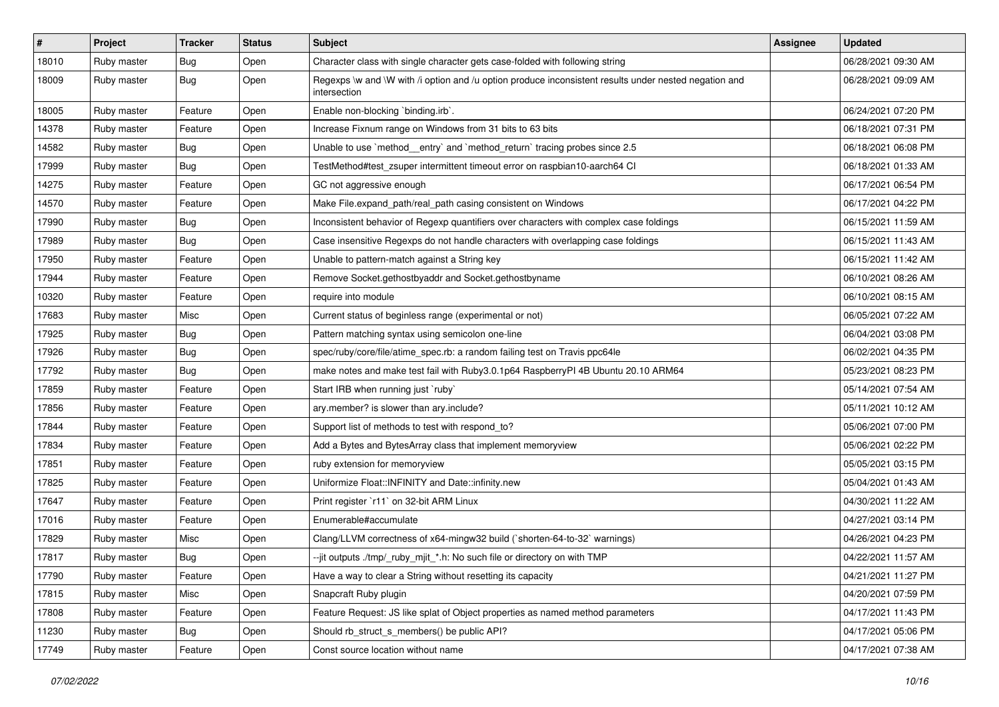| $\vert$ # | Project     | <b>Tracker</b> | <b>Status</b> | <b>Subject</b>                                                                                                        | <b>Assignee</b> | <b>Updated</b>      |
|-----------|-------------|----------------|---------------|-----------------------------------------------------------------------------------------------------------------------|-----------------|---------------------|
| 18010     | Ruby master | <b>Bug</b>     | Open          | Character class with single character gets case-folded with following string                                          |                 | 06/28/2021 09:30 AM |
| 18009     | Ruby master | Bug            | Open          | Regexps \w and \W with /i option and /u option produce inconsistent results under nested negation and<br>intersection |                 | 06/28/2021 09:09 AM |
| 18005     | Ruby master | Feature        | Open          | Enable non-blocking `binding.irb`.                                                                                    |                 | 06/24/2021 07:20 PM |
| 14378     | Ruby master | Feature        | Open          | Increase Fixnum range on Windows from 31 bits to 63 bits                                                              |                 | 06/18/2021 07:31 PM |
| 14582     | Ruby master | <b>Bug</b>     | Open          | Unable to use `method_entry` and `method_return` tracing probes since 2.5                                             |                 | 06/18/2021 06:08 PM |
| 17999     | Ruby master | <b>Bug</b>     | Open          | TestMethod#test_zsuper intermittent timeout error on raspbian10-aarch64 CI                                            |                 | 06/18/2021 01:33 AM |
| 14275     | Ruby master | Feature        | Open          | GC not aggressive enough                                                                                              |                 | 06/17/2021 06:54 PM |
| 14570     | Ruby master | Feature        | Open          | Make File.expand path/real path casing consistent on Windows                                                          |                 | 06/17/2021 04:22 PM |
| 17990     | Ruby master | <b>Bug</b>     | Open          | Inconsistent behavior of Regexp quantifiers over characters with complex case foldings                                |                 | 06/15/2021 11:59 AM |
| 17989     | Ruby master | <b>Bug</b>     | Open          | Case insensitive Regexps do not handle characters with overlapping case foldings                                      |                 | 06/15/2021 11:43 AM |
| 17950     | Ruby master | Feature        | Open          | Unable to pattern-match against a String key                                                                          |                 | 06/15/2021 11:42 AM |
| 17944     | Ruby master | Feature        | Open          | Remove Socket.gethostbyaddr and Socket.gethostbyname                                                                  |                 | 06/10/2021 08:26 AM |
| 10320     | Ruby master | Feature        | Open          | require into module                                                                                                   |                 | 06/10/2021 08:15 AM |
| 17683     | Ruby master | Misc           | Open          | Current status of beginless range (experimental or not)                                                               |                 | 06/05/2021 07:22 AM |
| 17925     | Ruby master | <b>Bug</b>     | Open          | Pattern matching syntax using semicolon one-line                                                                      |                 | 06/04/2021 03:08 PM |
| 17926     | Ruby master | <b>Bug</b>     | Open          | spec/ruby/core/file/atime_spec.rb: a random failing test on Travis ppc64le                                            |                 | 06/02/2021 04:35 PM |
| 17792     | Ruby master | Bug            | Open          | make notes and make test fail with Ruby3.0.1p64 RaspberryPI 4B Ubuntu 20.10 ARM64                                     |                 | 05/23/2021 08:23 PM |
| 17859     | Ruby master | Feature        | Open          | Start IRB when running just `ruby`                                                                                    |                 | 05/14/2021 07:54 AM |
| 17856     | Ruby master | Feature        | Open          | ary.member? is slower than ary.include?                                                                               |                 | 05/11/2021 10:12 AM |
| 17844     | Ruby master | Feature        | Open          | Support list of methods to test with respond_to?                                                                      |                 | 05/06/2021 07:00 PM |
| 17834     | Ruby master | Feature        | Open          | Add a Bytes and BytesArray class that implement memoryview                                                            |                 | 05/06/2021 02:22 PM |
| 17851     | Ruby master | Feature        | Open          | ruby extension for memoryview                                                                                         |                 | 05/05/2021 03:15 PM |
| 17825     | Ruby master | Feature        | Open          | Uniformize Float::INFINITY and Date::infinity.new                                                                     |                 | 05/04/2021 01:43 AM |
| 17647     | Ruby master | Feature        | Open          | Print register `r11` on 32-bit ARM Linux                                                                              |                 | 04/30/2021 11:22 AM |
| 17016     | Ruby master | Feature        | Open          | Enumerable#accumulate                                                                                                 |                 | 04/27/2021 03:14 PM |
| 17829     | Ruby master | Misc           | Open          | Clang/LLVM correctness of x64-mingw32 build (`shorten-64-to-32` warnings)                                             |                 | 04/26/2021 04:23 PM |
| 17817     | Ruby master | <b>Bug</b>     | Open          | --jit outputs ./tmp/_ruby_mjit_*.h: No such file or directory on with TMP                                             |                 | 04/22/2021 11:57 AM |
| 17790     | Ruby master | Feature        | Open          | Have a way to clear a String without resetting its capacity                                                           |                 | 04/21/2021 11:27 PM |
| 17815     | Ruby master | Misc           | Open          | Snapcraft Ruby plugin                                                                                                 |                 | 04/20/2021 07:59 PM |
| 17808     | Ruby master | Feature        | Open          | Feature Request: JS like splat of Object properties as named method parameters                                        |                 | 04/17/2021 11:43 PM |
| 11230     | Ruby master | <b>Bug</b>     | Open          | Should rb struct s members() be public API?                                                                           |                 | 04/17/2021 05:06 PM |
| 17749     | Ruby master | Feature        | Open          | Const source location without name                                                                                    |                 | 04/17/2021 07:38 AM |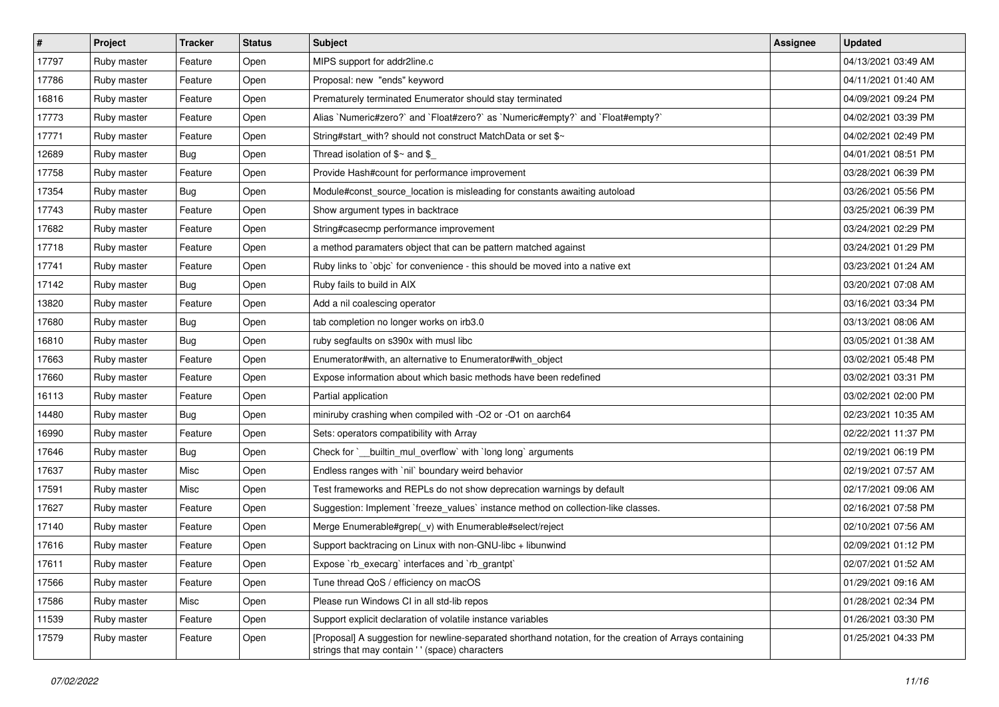| $\sharp$ | Project     | <b>Tracker</b> | <b>Status</b> | <b>Subject</b>                                                                                                                                            | <b>Assignee</b> | <b>Updated</b>      |
|----------|-------------|----------------|---------------|-----------------------------------------------------------------------------------------------------------------------------------------------------------|-----------------|---------------------|
| 17797    | Ruby master | Feature        | Open          | MIPS support for addr2line.c                                                                                                                              |                 | 04/13/2021 03:49 AM |
| 17786    | Ruby master | Feature        | Open          | Proposal: new "ends" keyword                                                                                                                              |                 | 04/11/2021 01:40 AM |
| 16816    | Ruby master | Feature        | Open          | Prematurely terminated Enumerator should stay terminated                                                                                                  |                 | 04/09/2021 09:24 PM |
| 17773    | Ruby master | Feature        | Open          | Alias `Numeric#zero?` and `Float#zero?` as `Numeric#empty?` and `Float#empty?`                                                                            |                 | 04/02/2021 03:39 PM |
| 17771    | Ruby master | Feature        | Open          | String#start_with? should not construct MatchData or set \$~                                                                                              |                 | 04/02/2021 02:49 PM |
| 12689    | Ruby master | Bug            | Open          | Thread isolation of $\gamma$ and $\gamma$                                                                                                                 |                 | 04/01/2021 08:51 PM |
| 17758    | Ruby master | Feature        | Open          | Provide Hash#count for performance improvement                                                                                                            |                 | 03/28/2021 06:39 PM |
| 17354    | Ruby master | Bug            | Open          | Module#const_source_location is misleading for constants awaiting autoload                                                                                |                 | 03/26/2021 05:56 PM |
| 17743    | Ruby master | Feature        | Open          | Show argument types in backtrace                                                                                                                          |                 | 03/25/2021 06:39 PM |
| 17682    | Ruby master | Feature        | Open          | String#casecmp performance improvement                                                                                                                    |                 | 03/24/2021 02:29 PM |
| 17718    | Ruby master | Feature        | Open          | a method paramaters object that can be pattern matched against                                                                                            |                 | 03/24/2021 01:29 PM |
| 17741    | Ruby master | Feature        | Open          | Ruby links to `objc` for convenience - this should be moved into a native ext                                                                             |                 | 03/23/2021 01:24 AM |
| 17142    | Ruby master | Bug            | Open          | Ruby fails to build in AIX                                                                                                                                |                 | 03/20/2021 07:08 AM |
| 13820    | Ruby master | Feature        | Open          | Add a nil coalescing operator                                                                                                                             |                 | 03/16/2021 03:34 PM |
| 17680    | Ruby master | Bug            | Open          | tab completion no longer works on irb3.0                                                                                                                  |                 | 03/13/2021 08:06 AM |
| 16810    | Ruby master | Bug            | Open          | ruby segfaults on s390x with musl libc                                                                                                                    |                 | 03/05/2021 01:38 AM |
| 17663    | Ruby master | Feature        | Open          | Enumerator#with, an alternative to Enumerator#with_object                                                                                                 |                 | 03/02/2021 05:48 PM |
| 17660    | Ruby master | Feature        | Open          | Expose information about which basic methods have been redefined                                                                                          |                 | 03/02/2021 03:31 PM |
| 16113    | Ruby master | Feature        | Open          | Partial application                                                                                                                                       |                 | 03/02/2021 02:00 PM |
| 14480    | Ruby master | Bug            | Open          | miniruby crashing when compiled with -O2 or -O1 on aarch64                                                                                                |                 | 02/23/2021 10:35 AM |
| 16990    | Ruby master | Feature        | Open          | Sets: operators compatibility with Array                                                                                                                  |                 | 02/22/2021 11:37 PM |
| 17646    | Ruby master | Bug            | Open          | Check for `__builtin_mul_overflow` with `long long` arguments                                                                                             |                 | 02/19/2021 06:19 PM |
| 17637    | Ruby master | Misc           | Open          | Endless ranges with 'nil' boundary weird behavior                                                                                                         |                 | 02/19/2021 07:57 AM |
| 17591    | Ruby master | Misc           | Open          | Test frameworks and REPLs do not show deprecation warnings by default                                                                                     |                 | 02/17/2021 09:06 AM |
| 17627    | Ruby master | Feature        | Open          | Suggestion: Implement `freeze_values` instance method on collection-like classes.                                                                         |                 | 02/16/2021 07:58 PM |
| 17140    | Ruby master | Feature        | Open          | Merge Enumerable#grep(_v) with Enumerable#select/reject                                                                                                   |                 | 02/10/2021 07:56 AM |
| 17616    | Ruby master | Feature        | Open          | Support backtracing on Linux with non-GNU-libc + libunwind                                                                                                |                 | 02/09/2021 01:12 PM |
| 17611    | Ruby master | Feature        | Open          | Expose `rb_execarg` interfaces and `rb_grantpt`                                                                                                           |                 | 02/07/2021 01:52 AM |
| 17566    | Ruby master | Feature        | Open          | Tune thread QoS / efficiency on macOS                                                                                                                     |                 | 01/29/2021 09:16 AM |
| 17586    | Ruby master | Misc           | Open          | Please run Windows CI in all std-lib repos                                                                                                                |                 | 01/28/2021 02:34 PM |
| 11539    | Ruby master | Feature        | Open          | Support explicit declaration of volatile instance variables                                                                                               |                 | 01/26/2021 03:30 PM |
| 17579    | Ruby master | Feature        | Open          | [Proposal] A suggestion for newline-separated shorthand notation, for the creation of Arrays containing<br>strings that may contain '' (space) characters |                 | 01/25/2021 04:33 PM |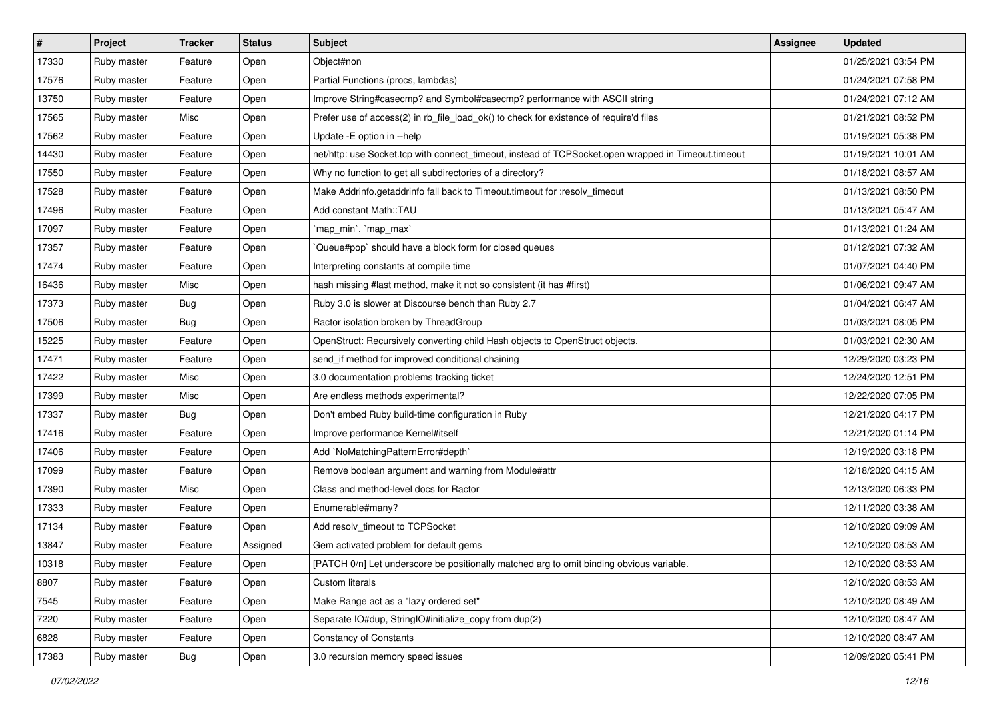| $\vert$ # | Project     | <b>Tracker</b> | <b>Status</b> | <b>Subject</b>                                                                                      | <b>Assignee</b> | <b>Updated</b>      |
|-----------|-------------|----------------|---------------|-----------------------------------------------------------------------------------------------------|-----------------|---------------------|
| 17330     | Ruby master | Feature        | Open          | Object#non                                                                                          |                 | 01/25/2021 03:54 PM |
| 17576     | Ruby master | Feature        | Open          | Partial Functions (procs, lambdas)                                                                  |                 | 01/24/2021 07:58 PM |
| 13750     | Ruby master | Feature        | Open          | Improve String#casecmp? and Symbol#casecmp? performance with ASCII string                           |                 | 01/24/2021 07:12 AM |
| 17565     | Ruby master | Misc           | Open          | Prefer use of access(2) in rb_file_load_ok() to check for existence of require'd files              |                 | 01/21/2021 08:52 PM |
| 17562     | Ruby master | Feature        | Open          | Update - E option in --help                                                                         |                 | 01/19/2021 05:38 PM |
| 14430     | Ruby master | Feature        | Open          | net/http: use Socket.tcp with connect_timeout, instead of TCPSocket.open wrapped in Timeout.timeout |                 | 01/19/2021 10:01 AM |
| 17550     | Ruby master | Feature        | Open          | Why no function to get all subdirectories of a directory?                                           |                 | 01/18/2021 08:57 AM |
| 17528     | Ruby master | Feature        | Open          | Make Addrinfo.getaddrinfo fall back to Timeout.timeout for :resolv_timeout                          |                 | 01/13/2021 08:50 PM |
| 17496     | Ruby master | Feature        | Open          | Add constant Math::TAU                                                                              |                 | 01/13/2021 05:47 AM |
| 17097     | Ruby master | Feature        | Open          | 'map_min', 'map_max'                                                                                |                 | 01/13/2021 01:24 AM |
| 17357     | Ruby master | Feature        | Open          | Queue#pop`should have a block form for closed queues                                                |                 | 01/12/2021 07:32 AM |
| 17474     | Ruby master | Feature        | Open          | Interpreting constants at compile time                                                              |                 | 01/07/2021 04:40 PM |
| 16436     | Ruby master | Misc           | Open          | hash missing #last method, make it not so consistent (it has #first)                                |                 | 01/06/2021 09:47 AM |
| 17373     | Ruby master | <b>Bug</b>     | Open          | Ruby 3.0 is slower at Discourse bench than Ruby 2.7                                                 |                 | 01/04/2021 06:47 AM |
| 17506     | Ruby master | Bug            | Open          | Ractor isolation broken by ThreadGroup                                                              |                 | 01/03/2021 08:05 PM |
| 15225     | Ruby master | Feature        | Open          | OpenStruct: Recursively converting child Hash objects to OpenStruct objects.                        |                 | 01/03/2021 02:30 AM |
| 17471     | Ruby master | Feature        | Open          | send_if method for improved conditional chaining                                                    |                 | 12/29/2020 03:23 PM |
| 17422     | Ruby master | Misc           | Open          | 3.0 documentation problems tracking ticket                                                          |                 | 12/24/2020 12:51 PM |
| 17399     | Ruby master | Misc           | Open          | Are endless methods experimental?                                                                   |                 | 12/22/2020 07:05 PM |
| 17337     | Ruby master | <b>Bug</b>     | Open          | Don't embed Ruby build-time configuration in Ruby                                                   |                 | 12/21/2020 04:17 PM |
| 17416     | Ruby master | Feature        | Open          | Improve performance Kernel#itself                                                                   |                 | 12/21/2020 01:14 PM |
| 17406     | Ruby master | Feature        | Open          | Add `NoMatchingPatternError#depth`                                                                  |                 | 12/19/2020 03:18 PM |
| 17099     | Ruby master | Feature        | Open          | Remove boolean argument and warning from Module#attr                                                |                 | 12/18/2020 04:15 AM |
| 17390     | Ruby master | Misc           | Open          | Class and method-level docs for Ractor                                                              |                 | 12/13/2020 06:33 PM |
| 17333     | Ruby master | Feature        | Open          | Enumerable#many?                                                                                    |                 | 12/11/2020 03:38 AM |
| 17134     | Ruby master | Feature        | Open          | Add resolv_timeout to TCPSocket                                                                     |                 | 12/10/2020 09:09 AM |
| 13847     | Ruby master | Feature        | Assigned      | Gem activated problem for default gems                                                              |                 | 12/10/2020 08:53 AM |
| 10318     | Ruby master | Feature        | Open          | [PATCH 0/n] Let underscore be positionally matched arg to omit binding obvious variable.            |                 | 12/10/2020 08:53 AM |
| 8807      | Ruby master | Feature        | Open          | Custom literals                                                                                     |                 | 12/10/2020 08:53 AM |
| 7545      | Ruby master | Feature        | Open          | Make Range act as a "lazy ordered set"                                                              |                 | 12/10/2020 08:49 AM |
| 7220      | Ruby master | Feature        | Open          | Separate IO#dup, StringIO#initialize_copy from dup(2)                                               |                 | 12/10/2020 08:47 AM |
| 6828      | Ruby master | Feature        | Open          | <b>Constancy of Constants</b>                                                                       |                 | 12/10/2020 08:47 AM |
| 17383     | Ruby master | Bug            | Open          | 3.0 recursion memory speed issues                                                                   |                 | 12/09/2020 05:41 PM |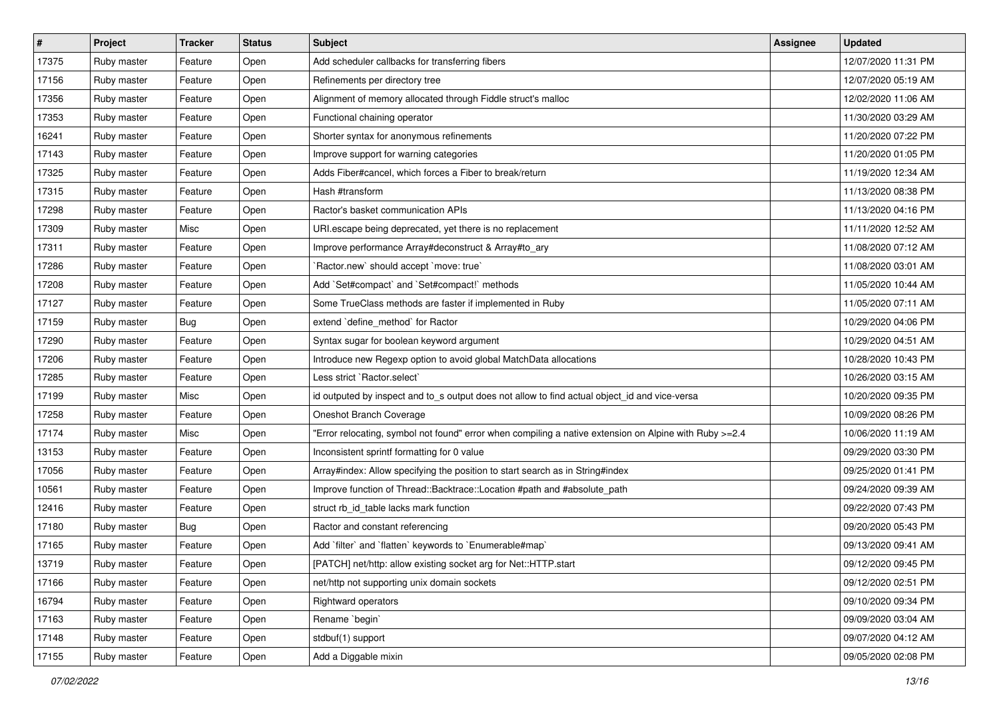| $\sharp$ | Project     | <b>Tracker</b> | <b>Status</b> | <b>Subject</b>                                                                                        | Assignee | <b>Updated</b>      |
|----------|-------------|----------------|---------------|-------------------------------------------------------------------------------------------------------|----------|---------------------|
| 17375    | Ruby master | Feature        | Open          | Add scheduler callbacks for transferring fibers                                                       |          | 12/07/2020 11:31 PM |
| 17156    | Ruby master | Feature        | Open          | Refinements per directory tree                                                                        |          | 12/07/2020 05:19 AM |
| 17356    | Ruby master | Feature        | Open          | Alignment of memory allocated through Fiddle struct's malloc                                          |          | 12/02/2020 11:06 AM |
| 17353    | Ruby master | Feature        | Open          | Functional chaining operator                                                                          |          | 11/30/2020 03:29 AM |
| 16241    | Ruby master | Feature        | Open          | Shorter syntax for anonymous refinements                                                              |          | 11/20/2020 07:22 PM |
| 17143    | Ruby master | Feature        | Open          | Improve support for warning categories                                                                |          | 11/20/2020 01:05 PM |
| 17325    | Ruby master | Feature        | Open          | Adds Fiber#cancel, which forces a Fiber to break/return                                               |          | 11/19/2020 12:34 AM |
| 17315    | Ruby master | Feature        | Open          | Hash #transform                                                                                       |          | 11/13/2020 08:38 PM |
| 17298    | Ruby master | Feature        | Open          | Ractor's basket communication APIs                                                                    |          | 11/13/2020 04:16 PM |
| 17309    | Ruby master | Misc           | Open          | URI escape being deprecated, yet there is no replacement                                              |          | 11/11/2020 12:52 AM |
| 17311    | Ruby master | Feature        | Open          | Improve performance Array#deconstruct & Array#to_ary                                                  |          | 11/08/2020 07:12 AM |
| 17286    | Ruby master | Feature        | Open          | 'Ractor.new' should accept 'move: true'                                                               |          | 11/08/2020 03:01 AM |
| 17208    | Ruby master | Feature        | Open          | Add `Set#compact` and `Set#compact!` methods                                                          |          | 11/05/2020 10:44 AM |
| 17127    | Ruby master | Feature        | Open          | Some TrueClass methods are faster if implemented in Ruby                                              |          | 11/05/2020 07:11 AM |
| 17159    | Ruby master | Bug            | Open          | extend 'define_method' for Ractor                                                                     |          | 10/29/2020 04:06 PM |
| 17290    | Ruby master | Feature        | Open          | Syntax sugar for boolean keyword argument                                                             |          | 10/29/2020 04:51 AM |
| 17206    | Ruby master | Feature        | Open          | Introduce new Regexp option to avoid global MatchData allocations                                     |          | 10/28/2020 10:43 PM |
| 17285    | Ruby master | Feature        | Open          | Less strict `Ractor.select`                                                                           |          | 10/26/2020 03:15 AM |
| 17199    | Ruby master | Misc           | Open          | id outputed by inspect and to_s output does not allow to find actual object_id and vice-versa         |          | 10/20/2020 09:35 PM |
| 17258    | Ruby master | Feature        | Open          | Oneshot Branch Coverage                                                                               |          | 10/09/2020 08:26 PM |
| 17174    | Ruby master | Misc           | Open          | Error relocating, symbol not found" error when compiling a native extension on Alpine with Ruby >=2.4 |          | 10/06/2020 11:19 AM |
| 13153    | Ruby master | Feature        | Open          | Inconsistent sprintf formatting for 0 value                                                           |          | 09/29/2020 03:30 PM |
| 17056    | Ruby master | Feature        | Open          | Array#index: Allow specifying the position to start search as in String#index                         |          | 09/25/2020 01:41 PM |
| 10561    | Ruby master | Feature        | Open          | Improve function of Thread::Backtrace::Location #path and #absolute_path                              |          | 09/24/2020 09:39 AM |
| 12416    | Ruby master | Feature        | Open          | struct rb_id_table lacks mark function                                                                |          | 09/22/2020 07:43 PM |
| 17180    | Ruby master | Bug            | Open          | Ractor and constant referencing                                                                       |          | 09/20/2020 05:43 PM |
| 17165    | Ruby master | Feature        | Open          | Add 'filter' and 'flatten' keywords to 'Enumerable#map'                                               |          | 09/13/2020 09:41 AM |
| 13719    | Ruby master | Feature        | Open          | [PATCH] net/http: allow existing socket arg for Net::HTTP.start                                       |          | 09/12/2020 09:45 PM |
| 17166    | Ruby master | Feature        | Open          | net/http not supporting unix domain sockets                                                           |          | 09/12/2020 02:51 PM |
| 16794    | Ruby master | Feature        | Open          | Rightward operators                                                                                   |          | 09/10/2020 09:34 PM |
| 17163    | Ruby master | Feature        | Open          | Rename `begin`                                                                                        |          | 09/09/2020 03:04 AM |
| 17148    | Ruby master | Feature        | Open          | stdbuf(1) support                                                                                     |          | 09/07/2020 04:12 AM |
| 17155    | Ruby master | Feature        | Open          | Add a Diggable mixin                                                                                  |          | 09/05/2020 02:08 PM |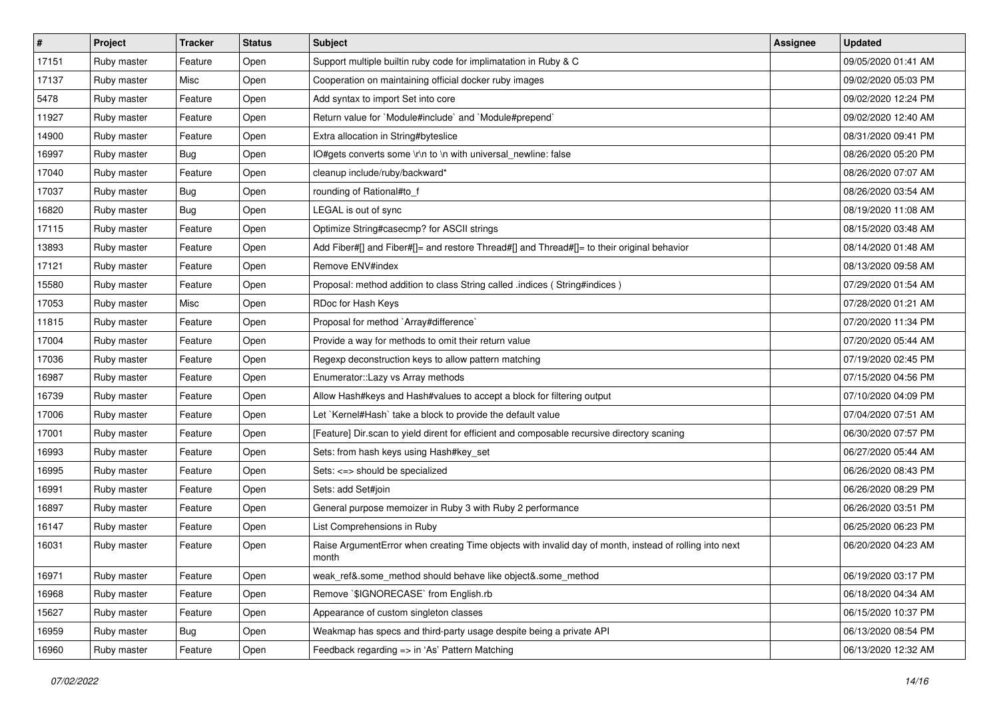| #     | Project     | <b>Tracker</b> | <b>Status</b> | <b>Subject</b>                                                                                                  | <b>Assignee</b> | <b>Updated</b>      |
|-------|-------------|----------------|---------------|-----------------------------------------------------------------------------------------------------------------|-----------------|---------------------|
| 17151 | Ruby master | Feature        | Open          | Support multiple builtin ruby code for implimatation in Ruby & C                                                |                 | 09/05/2020 01:41 AM |
| 17137 | Ruby master | Misc           | Open          | Cooperation on maintaining official docker ruby images                                                          |                 | 09/02/2020 05:03 PM |
| 5478  | Ruby master | Feature        | Open          | Add syntax to import Set into core                                                                              |                 | 09/02/2020 12:24 PM |
| 11927 | Ruby master | Feature        | Open          | Return value for `Module#include` and `Module#prepend`                                                          |                 | 09/02/2020 12:40 AM |
| 14900 | Ruby master | Feature        | Open          | Extra allocation in String#byteslice                                                                            |                 | 08/31/2020 09:41 PM |
| 16997 | Ruby master | Bug            | Open          | IO#gets converts some \r\n to \n with universal_newline: false                                                  |                 | 08/26/2020 05:20 PM |
| 17040 | Ruby master | Feature        | Open          | cleanup include/ruby/backward*                                                                                  |                 | 08/26/2020 07:07 AM |
| 17037 | Ruby master | Bug            | Open          | rounding of Rational#to_f                                                                                       |                 | 08/26/2020 03:54 AM |
| 16820 | Ruby master | Bug            | Open          | LEGAL is out of sync                                                                                            |                 | 08/19/2020 11:08 AM |
| 17115 | Ruby master | Feature        | Open          | Optimize String#casecmp? for ASCII strings                                                                      |                 | 08/15/2020 03:48 AM |
| 13893 | Ruby master | Feature        | Open          | Add Fiber#[] and Fiber#[]= and restore Thread#[] and Thread#[]= to their original behavior                      |                 | 08/14/2020 01:48 AM |
| 17121 | Ruby master | Feature        | Open          | Remove ENV#index                                                                                                |                 | 08/13/2020 09:58 AM |
| 15580 | Ruby master | Feature        | Open          | Proposal: method addition to class String called .indices (String#indices)                                      |                 | 07/29/2020 01:54 AM |
| 17053 | Ruby master | Misc           | Open          | RDoc for Hash Keys                                                                                              |                 | 07/28/2020 01:21 AM |
| 11815 | Ruby master | Feature        | Open          | Proposal for method `Array#difference`                                                                          |                 | 07/20/2020 11:34 PM |
| 17004 | Ruby master | Feature        | Open          | Provide a way for methods to omit their return value                                                            |                 | 07/20/2020 05:44 AM |
| 17036 | Ruby master | Feature        | Open          | Regexp deconstruction keys to allow pattern matching                                                            |                 | 07/19/2020 02:45 PM |
| 16987 | Ruby master | Feature        | Open          | Enumerator::Lazy vs Array methods                                                                               |                 | 07/15/2020 04:56 PM |
| 16739 | Ruby master | Feature        | Open          | Allow Hash#keys and Hash#values to accept a block for filtering output                                          |                 | 07/10/2020 04:09 PM |
| 17006 | Ruby master | Feature        | Open          | Let `Kernel#Hash` take a block to provide the default value                                                     |                 | 07/04/2020 07:51 AM |
| 17001 | Ruby master | Feature        | Open          | [Feature] Dir.scan to yield dirent for efficient and composable recursive directory scaning                     |                 | 06/30/2020 07:57 PM |
| 16993 | Ruby master | Feature        | Open          | Sets: from hash keys using Hash#key_set                                                                         |                 | 06/27/2020 05:44 AM |
| 16995 | Ruby master | Feature        | Open          | Sets: <= > should be specialized                                                                                |                 | 06/26/2020 08:43 PM |
| 16991 | Ruby master | Feature        | Open          | Sets: add Set#join                                                                                              |                 | 06/26/2020 08:29 PM |
| 16897 | Ruby master | Feature        | Open          | General purpose memoizer in Ruby 3 with Ruby 2 performance                                                      |                 | 06/26/2020 03:51 PM |
| 16147 | Ruby master | Feature        | Open          | List Comprehensions in Ruby                                                                                     |                 | 06/25/2020 06:23 PM |
| 16031 | Ruby master | Feature        | Open          | Raise ArgumentError when creating Time objects with invalid day of month, instead of rolling into next<br>month |                 | 06/20/2020 04:23 AM |
| 16971 | Ruby master | Feature        | Open          | weak_ref&.some_method should behave like object&.some_method                                                    |                 | 06/19/2020 03:17 PM |
| 16968 | Ruby master | Feature        | Open          | Remove `\$IGNORECASE` from English.rb                                                                           |                 | 06/18/2020 04:34 AM |
| 15627 | Ruby master | Feature        | Open          | Appearance of custom singleton classes                                                                          |                 | 06/15/2020 10:37 PM |
| 16959 | Ruby master | <b>Bug</b>     | Open          | Weakmap has specs and third-party usage despite being a private API                                             |                 | 06/13/2020 08:54 PM |
| 16960 | Ruby master | Feature        | Open          | Feedback regarding => in 'As' Pattern Matching                                                                  |                 | 06/13/2020 12:32 AM |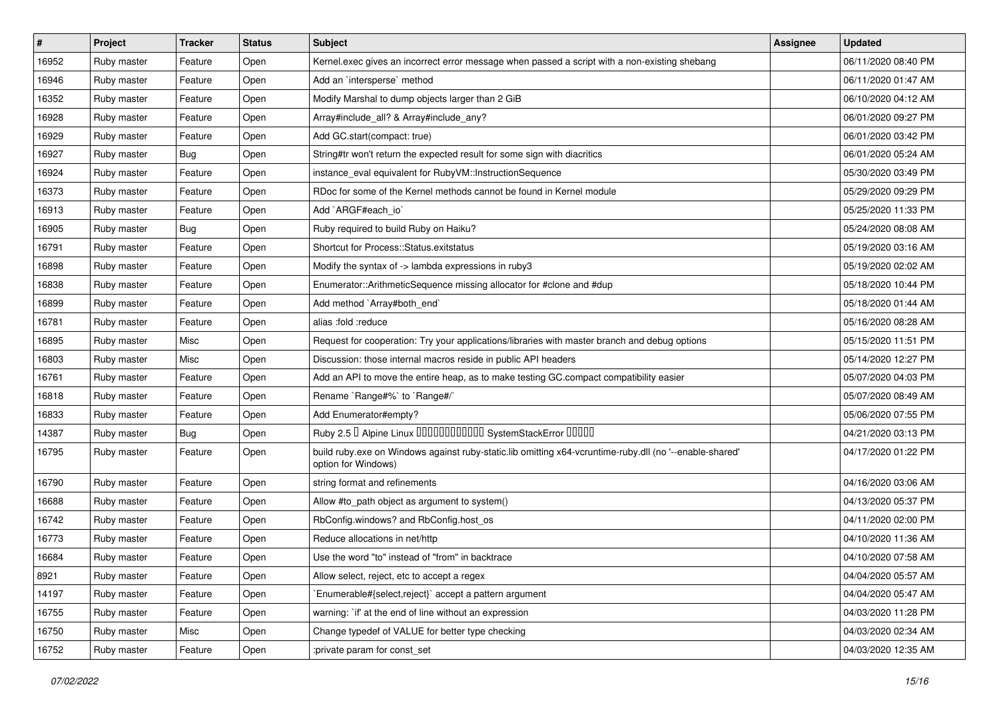| $\vert$ # | Project     | <b>Tracker</b> | <b>Status</b> | Subject                                                                                                                        | <b>Assignee</b> | <b>Updated</b>      |
|-----------|-------------|----------------|---------------|--------------------------------------------------------------------------------------------------------------------------------|-----------------|---------------------|
| 16952     | Ruby master | Feature        | Open          | Kernel.exec gives an incorrect error message when passed a script with a non-existing shebang                                  |                 | 06/11/2020 08:40 PM |
| 16946     | Ruby master | Feature        | Open          | Add an `intersperse` method                                                                                                    |                 | 06/11/2020 01:47 AM |
| 16352     | Ruby master | Feature        | Open          | Modify Marshal to dump objects larger than 2 GiB                                                                               |                 | 06/10/2020 04:12 AM |
| 16928     | Ruby master | Feature        | Open          | Array#include_all? & Array#include_any?                                                                                        |                 | 06/01/2020 09:27 PM |
| 16929     | Ruby master | Feature        | Open          | Add GC.start(compact: true)                                                                                                    |                 | 06/01/2020 03:42 PM |
| 16927     | Ruby master | <b>Bug</b>     | Open          | String#tr won't return the expected result for some sign with diacritics                                                       |                 | 06/01/2020 05:24 AM |
| 16924     | Ruby master | Feature        | Open          | instance_eval equivalent for RubyVM::InstructionSequence                                                                       |                 | 05/30/2020 03:49 PM |
| 16373     | Ruby master | Feature        | Open          | RDoc for some of the Kernel methods cannot be found in Kernel module                                                           |                 | 05/29/2020 09:29 PM |
| 16913     | Ruby master | Feature        | Open          | Add `ARGF#each_io`                                                                                                             |                 | 05/25/2020 11:33 PM |
| 16905     | Ruby master | <b>Bug</b>     | Open          | Ruby required to build Ruby on Haiku?                                                                                          |                 | 05/24/2020 08:08 AM |
| 16791     | Ruby master | Feature        | Open          | Shortcut for Process::Status.exitstatus                                                                                        |                 | 05/19/2020 03:16 AM |
| 16898     | Ruby master | Feature        | Open          | Modify the syntax of -> lambda expressions in ruby3                                                                            |                 | 05/19/2020 02:02 AM |
| 16838     | Ruby master | Feature        | Open          | Enumerator::ArithmeticSequence missing allocator for #clone and #dup                                                           |                 | 05/18/2020 10:44 PM |
| 16899     | Ruby master | Feature        | Open          | Add method `Array#both_end`                                                                                                    |                 | 05/18/2020 01:44 AM |
| 16781     | Ruby master | Feature        | Open          | alias :fold :reduce                                                                                                            |                 | 05/16/2020 08:28 AM |
| 16895     | Ruby master | Misc           | Open          | Request for cooperation: Try your applications/libraries with master branch and debug options                                  |                 | 05/15/2020 11:51 PM |
| 16803     | Ruby master | Misc           | Open          | Discussion: those internal macros reside in public API headers                                                                 |                 | 05/14/2020 12:27 PM |
| 16761     | Ruby master | Feature        | Open          | Add an API to move the entire heap, as to make testing GC.compact compatibility easier                                         |                 | 05/07/2020 04:03 PM |
| 16818     | Ruby master | Feature        | Open          | Rename `Range#%` to `Range#/`                                                                                                  |                 | 05/07/2020 08:49 AM |
| 16833     | Ruby master | Feature        | Open          | Add Enumerator#empty?                                                                                                          |                 | 05/06/2020 07:55 PM |
| 14387     | Ruby master | Bug            | Open          | Ruby 2.5 <sup>D</sup> Alpine Linux 000000000000 SystemStackError 00000                                                         |                 | 04/21/2020 03:13 PM |
| 16795     | Ruby master | Feature        | Open          | build ruby.exe on Windows against ruby-static.lib omitting x64-vcruntime-ruby.dll (no '--enable-shared'<br>option for Windows) |                 | 04/17/2020 01:22 PM |
| 16790     | Ruby master | Feature        | Open          | string format and refinements                                                                                                  |                 | 04/16/2020 03:06 AM |
| 16688     | Ruby master | Feature        | Open          | Allow #to_path object as argument to system()                                                                                  |                 | 04/13/2020 05:37 PM |
| 16742     | Ruby master | Feature        | Open          | RbConfig.windows? and RbConfig.host_os                                                                                         |                 | 04/11/2020 02:00 PM |
| 16773     | Ruby master | Feature        | Open          | Reduce allocations in net/http                                                                                                 |                 | 04/10/2020 11:36 AM |
| 16684     | Ruby master | Feature        | Open          | Use the word "to" instead of "from" in backtrace                                                                               |                 | 04/10/2020 07:58 AM |
| 8921      | Ruby master | Feature        | Open          | Allow select, reject, etc to accept a regex                                                                                    |                 | 04/04/2020 05:57 AM |
| 14197     | Ruby master | Feature        | Open          | Enumerable#{select,reject}` accept a pattern argument                                                                          |                 | 04/04/2020 05:47 AM |
| 16755     | Ruby master | Feature        | Open          | warning: `if' at the end of line without an expression                                                                         |                 | 04/03/2020 11:28 PM |
| 16750     | Ruby master | Misc           | Open          | Change typedef of VALUE for better type checking                                                                               |                 | 04/03/2020 02:34 AM |
| 16752     | Ruby master | Feature        | Open          | :private param for const_set                                                                                                   |                 | 04/03/2020 12:35 AM |